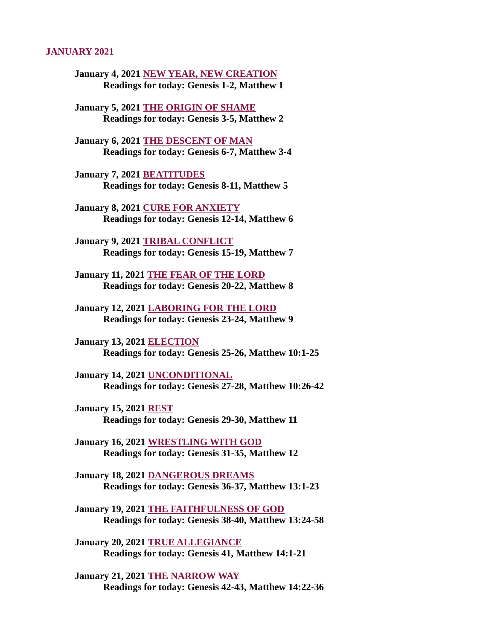#### JANUARY 2021

- [January 4, 2021 NEW YEAR, NEW CREATION](#page-2-0) Readings for today: Genesis 1-2, Matthew 1
- [January 5, 2021 THE ORIGIN OF SHAME](#page-3-0) Readings for today: Genesis 3-5, Matthew 2
- January 6, 2021 THE DESCENT OF MAN [Readings for today: Genesis 6-7, Matthew 3-4](#page-5-0)
- January 7, 2021 BEATITUDES [Readings for today: Genesis 8-11, Matthew 5](#page-6-0)
- January 8, 2021 CURE FOR ANXIETY [Readings for today: Genesis 12-14, Matthew 6](#page-8-0)
- January 9, 2021 TRIBAL CONFLICT [Readings for today: Genesis 15-19, Matthew 7](#page-9-0)
- [January 11, 2021 THE FEAR OF THE LORD](#page-11-0) Readings for today: Genesis 20-22, Matthew 8
- [January 12, 2021 LABORING FOR THE LORD](#page-13-0) Readings for today: Genesis 23-24, Matthew 9
- January 13, 2021 ELECTION [Readings for today: Genesis 25-26, Matthew 10:1-25](#page-15-0)
- January 14, 2021 UNCONDITIONAL [Readings for today: Genesis 27-28, Matthew 10:26-42](#page-17-0)
- January 15, 2021 REST [Readings for today: Genesis 29-30, Matthew 11](#page-19-0)
- January 16, 2021 WRESTLING WITH GOD [Readings for today: Genesis 31-35, Matthew 12](#page-20-0)
- January 18, 2021 DANGEROUS DREAMS [Readings for today: Genesis 36-37, Matthew 13:1-23](#page-21-0)
- January 19, 2021 THE FAITHFULNESS OF GOD [Readings for today: Genesis 38-40, Matthew 13:24-58](#page-23-0)
- January 20, 2021 TRUE ALLEGIANCE [Readings for today: Genesis 41, Matthew 14:1-21](#page-25-0)
- January 21, 2021 THE NARROW WAY [Readings for today: Genesis 42-43, Matthew 14:22-36](#page-27-0)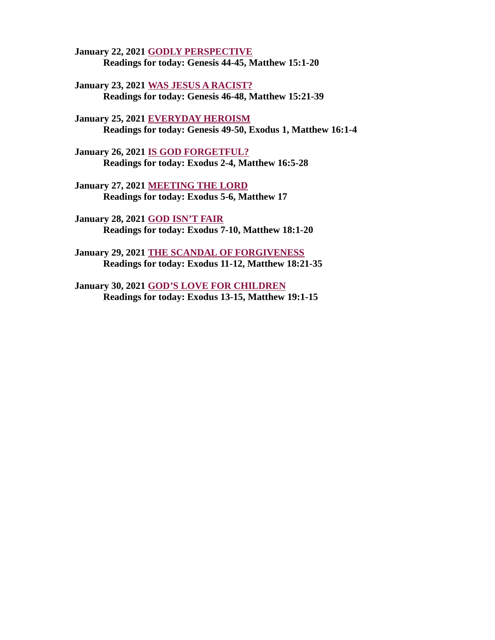January 22, 2021 **GODLY PERSPECTIVE** [Readings for today: Genesis 44-45, Matthew 15:1-20](#page-29-0)

January 23, 2021 WAS JESUS A RACIST? [Readings for today: Genesis 46-48, Matthew 15:21-39](#page-30-0)

January 25, 2021 EVERYDAY HEROISM [Readings for today: Genesis 49-50, Exodus 1, Matthew 16:1-4](#page-32-0)

January 26, 2021 IS GOD FORGETFUL? [Readings for today: Exodus 2-4, Matthew 16:5-28](#page-33-0)

January 27, 2021 MEETING THE LORD [Readings for today: Exodus 5-6, Matthew 17](#page-35-0)

January 28, 2021 GOD ISN'T FAIR [Readings for today: Exodus 7-10, Matthew 18:1-20](#page-37-0)

[January 29, 2021 THE SCANDAL OF FORGIVENESS](#page-39-0) Readings for today: Exodus 11-12, Matthew 18:21-35

January 30, 2021 GOD'S LOVE FOR CHILDREN [Readings for today: Exodus 13-15, Matthew 19:1-15](#page-41-0)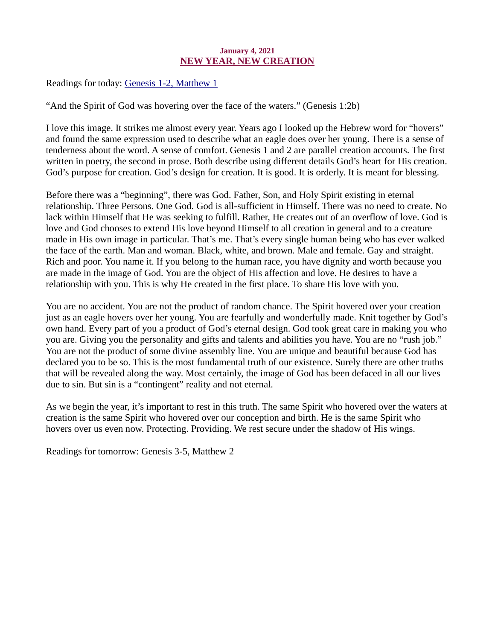## January 4, 2021 NEW YEAR, NEW CREATION

<span id="page-2-0"></span>Readings for today: [Genesis 1-2, Matthew 1](https://www.biblegateway.com/passage/?search=Genesis+1-2%2C+Matthew+1&version=ESV)

"And the Spirit of God was hovering over the face of the waters." (Genesis 1:2b)

I love this image. It strikes me almost every year. Years ago I looked up the Hebrew word for "hovers" and found the same expression used to describe what an eagle does over her young. There is a sense of tenderness about the word. A sense of comfort. Genesis 1 and 2 are parallel creation accounts. The first written in poetry, the second in prose. Both describe using different details God's heart for His creation. God's purpose for creation. God's design for creation. It is good. It is orderly. It is meant for blessing.

Before there was a "beginning", there was God. Father, Son, and Holy Spirit existing in eternal relationship. Three Persons. One God. God is all-sufficient in Himself. There was no need to create. No lack within Himself that He was seeking to fulfill. Rather, He creates out of an overflow of love. God is love and God chooses to extend His love beyond Himself to all creation in general and to a creature made in His own image in particular. That's me. That's every single human being who has ever walked the face of the earth. Man and woman. Black, white, and brown. Male and female. Gay and straight. Rich and poor. You name it. If you belong to the human race, you have dignity and worth because you are made in the image of God. You are the object of His affection and love. He desires to have a relationship with you. This is why He created in the first place. To share His love with you.

You are no accident. You are not the product of random chance. The Spirit hovered over your creation just as an eagle hovers over her young. You are fearfully and wonderfully made. Knit together by God's own hand. Every part of you a product of God's eternal design. God took great care in making you who you are. Giving you the personality and gifts and talents and abilities you have. You are no "rush job." You are not the product of some divine assembly line. You are unique and beautiful because God has declared you to be so. This is the most fundamental truth of our existence. Surely there are other truths that will be revealed along the way. Most certainly, the image of God has been defaced in all our lives due to sin. But sin is a "contingent" reality and not eternal.

As we begin the year, it's important to rest in this truth. The same Spirit who hovered over the waters at creation is the same Spirit who hovered over our conception and birth. He is the same Spirit who hovers over us even now. Protecting. Providing. We rest secure under the shadow of His wings.

Readings for tomorrow: Genesis 3-5, Matthew 2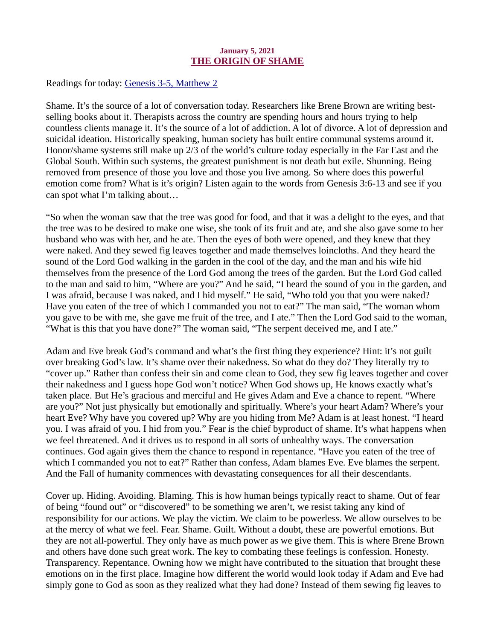## January 5, 2021 THE ORIGIN OF SHAME

<span id="page-3-0"></span>Readings for today: [Genesis 3-5, Matthew 2](https://www.biblegateway.com/passage/?search=Genesis+3-5%2C+Matthew+2&version=ESV)

Shame. It's the source of a lot of conversation today. Researchers like Brene Brown are writing bestselling books about it. Therapists across the country are spending hours and hours trying to help countless clients manage it. It's the source of a lot of addiction. A lot of divorce. A lot of depression and suicidal ideation. Historically speaking, human society has built entire communal systems around it. Honor/shame systems still make up 2/3 of the world's culture today especially in the Far East and the Global South. Within such systems, the greatest punishment is not death but exile. Shunning. Being removed from presence of those you love and those you live among. So where does this powerful emotion come from? What is it's origin? Listen again to the words from Genesis 3:6-13 and see if you can spot what I'm talking about…

"So when the woman saw that the tree was good for food, and that it was a delight to the eyes, and that the tree was to be desired to make one wise, she took of its fruit and ate, and she also gave some to her husband who was with her, and he ate. Then the eyes of both were opened, and they knew that they were naked. And they sewed fig leaves together and made themselves loincloths. And they heard the sound of the Lord God walking in the garden in the cool of the day, and the man and his wife hid themselves from the presence of the Lord God among the trees of the garden. But the Lord God called to the man and said to him, "Where are you?" And he said, "I heard the sound of you in the garden, and I was afraid, because I was naked, and I hid myself." He said, "Who told you that you were naked? Have you eaten of the tree of which I commanded you not to eat?" The man said, "The woman whom you gave to be with me, she gave me fruit of the tree, and I ate." Then the Lord God said to the woman, "What is this that you have done?" The woman said, "The serpent deceived me, and I ate."

Adam and Eve break God's command and what's the first thing they experience? Hint: it's not guilt over breaking God's law. It's shame over their nakedness. So what do they do? They literally try to "cover up." Rather than confess their sin and come clean to God, they sew fig leaves together and cover their nakedness and I guess hope God won't notice? When God shows up, He knows exactly what's taken place. But He's gracious and merciful and He gives Adam and Eve a chance to repent. "Where are you?" Not just physically but emotionally and spiritually. Where's your heart Adam? Where's your heart Eve? Why have you covered up? Why are you hiding from Me? Adam is at least honest. "I heard you. I was afraid of you. I hid from you." Fear is the chief byproduct of shame. It's what happens when we feel threatened. And it drives us to respond in all sorts of unhealthy ways. The conversation continues. God again gives them the chance to respond in repentance. "Have you eaten of the tree of which I commanded you not to eat?" Rather than confess, Adam blames Eve. Eve blames the serpent. And the Fall of humanity commences with devastating consequences for all their descendants.

Cover up. Hiding. Avoiding. Blaming. This is how human beings typically react to shame. Out of fear of being "found out" or "discovered" to be something we aren't, we resist taking any kind of responsibility for our actions. We play the victim. We claim to be powerless. We allow ourselves to be at the mercy of what we feel. Fear. Shame. Guilt. Without a doubt, these are powerful emotions. But they are not all-powerful. They only have as much power as we give them. This is where Brene Brown and others have done such great work. The key to combating these feelings is confession. Honesty. Transparency. Repentance. Owning how we might have contributed to the situation that brought these emotions on in the first place. Imagine how different the world would look today if Adam and Eve had simply gone to God as soon as they realized what they had done? Instead of them sewing fig leaves to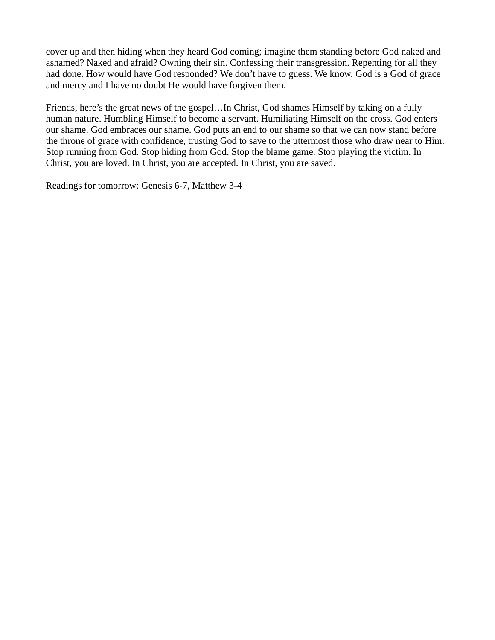cover up and then hiding when they heard God coming; imagine them standing before God naked and ashamed? Naked and afraid? Owning their sin. Confessing their transgression. Repenting for all they had done. How would have God responded? We don't have to guess. We know. God is a God of grace and mercy and I have no doubt He would have forgiven them.

Friends, here's the great news of the gospel…In Christ, God shames Himself by taking on a fully human nature. Humbling Himself to become a servant. Humiliating Himself on the cross. God enters our shame. God embraces our shame. God puts an end to our shame so that we can now stand before the throne of grace with confidence, trusting God to save to the uttermost those who draw near to Him. Stop running from God. Stop hiding from God. Stop the blame game. Stop playing the victim. In Christ, you are loved. In Christ, you are accepted. In Christ, you are saved.

Readings for tomorrow: Genesis 6-7, Matthew 3-4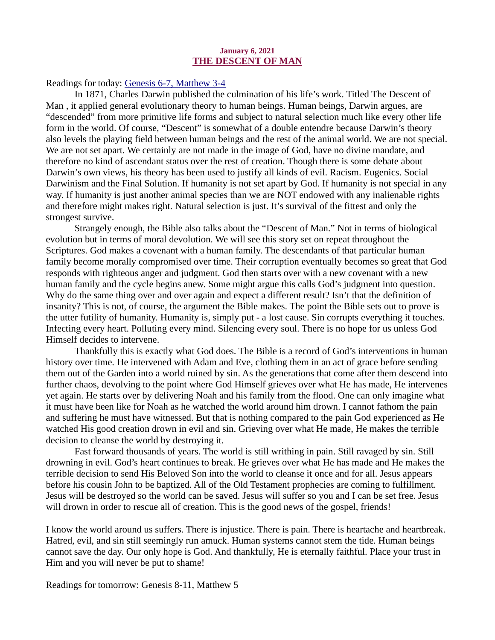#### January 6, 2021 THE DESCENT OF MAN

#### <span id="page-5-0"></span>Readings for today[: Genesis 6-7, Matthew 3-4](https://www.biblegateway.com/passage/?search=Genesis+6-7%2C+Matthew+3-4&version=ESV)

In 1871, Charles Darwin published the culmination of his life's work. Titled The Descent of Man , it applied general evolutionary theory to human beings. Human beings, Darwin argues, are "descended" from more primitive life forms and subject to natural selection much like every other life form in the world. Of course, "Descent" is somewhat of a double entendre because Darwin's theory also levels the playing field between human beings and the rest of the animal world. We are not special. We are not set apart. We certainly are not made in the image of God, have no divine mandate, and therefore no kind of ascendant status over the rest of creation. Though there is some debate about Darwin's own views, his theory has been used to justify all kinds of evil. Racism. Eugenics. Social Darwinism and the Final Solution. If humanity is not set apart by God. If humanity is not special in any way. If humanity is just another animal species than we are NOT endowed with any inalienable rights and therefore might makes right. Natural selection is just. It's survival of the fittest and only the strongest survive.

Strangely enough, the Bible also talks about the "Descent of Man." Not in terms of biological evolution but in terms of moral devolution. We will see this story set on repeat throughout the Scriptures. God makes a covenant with a human family. The descendants of that particular human family become morally compromised over time. Their corruption eventually becomes so great that God responds with righteous anger and judgment. God then starts over with a new covenant with a new human family and the cycle begins anew. Some might argue this calls God's judgment into question. Why do the same thing over and over again and expect a different result? Isn't that the definition of insanity? This is not, of course, the argument the Bible makes. The point the Bible sets out to prove is the utter futility of humanity. Humanity is, simply put - a lost cause. Sin corrupts everything it touches. Infecting every heart. Polluting every mind. Silencing every soul. There is no hope for us unless God Himself decides to intervene.

Thankfully this is exactly what God does. The Bible is a record of God's interventions in human history over time. He intervened with Adam and Eve, clothing them in an act of grace before sending them out of the Garden into a world ruined by sin. As the generations that come after them descend into further chaos, devolving to the point where God Himself grieves over what He has made, He intervenes yet again. He starts over by delivering Noah and his family from the flood. One can only imagine what it must have been like for Noah as he watched the world around him drown. I cannot fathom the pain and suffering he must have witnessed. But that is nothing compared to the pain God experienced as He watched His good creation drown in evil and sin. Grieving over what He made, He makes the terrible decision to cleanse the world by destroying it.

Fast forward thousands of years. The world is still writhing in pain. Still ravaged by sin. Still drowning in evil. God's heart continues to break. He grieves over what He has made and He makes the terrible decision to send His Beloved Son into the world to cleanse it once and for all. Jesus appears before his cousin John to be baptized. All of the Old Testament prophecies are coming to fulfillment. Jesus will be destroyed so the world can be saved. Jesus will suffer so you and I can be set free. Jesus will drown in order to rescue all of creation. This is the good news of the gospel, friends!

I know the world around us suffers. There is injustice. There is pain. There is heartache and heartbreak. Hatred, evil, and sin still seemingly run amuck. Human systems cannot stem the tide. Human beings cannot save the day. Our only hope is God. And thankfully, He is eternally faithful. Place your trust in Him and you will never be put to shame!

Readings for tomorrow: Genesis 8-11, Matthew 5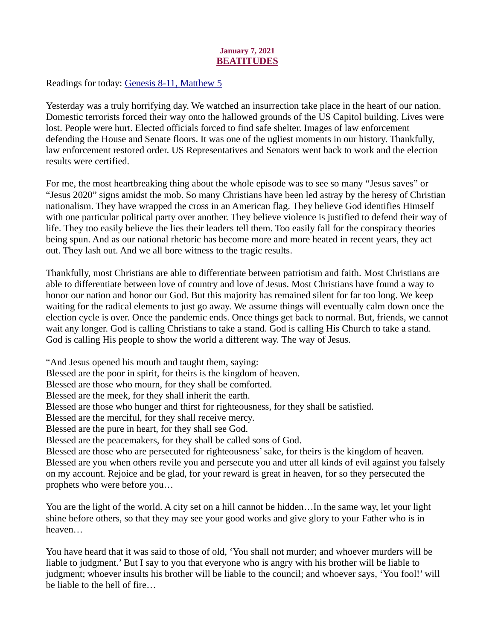## January 7, 2021 BEATITUDES

<span id="page-6-0"></span>Readings for today: [Genesis 8-11, Matthew 5](https://www.biblegateway.com/passage/?search=Genesis+8-11%2C+Matthew+5&version=ESV)

Yesterday was a truly horrifying day. We watched an insurrection take place in the heart of our nation. Domestic terrorists forced their way onto the hallowed grounds of the US Capitol building. Lives were lost. People were hurt. Elected officials forced to find safe shelter. Images of law enforcement defending the House and Senate floors. It was one of the ugliest moments in our history. Thankfully, law enforcement restored order. US Representatives and Senators went back to work and the election results were certified.

For me, the most heartbreaking thing about the whole episode was to see so many "Jesus saves" or "Jesus 2020" signs amidst the mob. So many Christians have been led astray by the heresy of Christian nationalism. They have wrapped the cross in an American flag. They believe God identifies Himself with one particular political party over another. They believe violence is justified to defend their way of life. They too easily believe the lies their leaders tell them. Too easily fall for the conspiracy theories being spun. And as our national rhetoric has become more and more heated in recent years, they act out. They lash out. And we all bore witness to the tragic results.

Thankfully, most Christians are able to differentiate between patriotism and faith. Most Christians are able to differentiate between love of country and love of Jesus. Most Christians have found a way to honor our nation and honor our God. But this majority has remained silent for far too long. We keep waiting for the radical elements to just go away. We assume things will eventually calm down once the election cycle is over. Once the pandemic ends. Once things get back to normal. But, friends, we cannot wait any longer. God is calling Christians to take a stand. God is calling His Church to take a stand. God is calling His people to show the world a different way. The way of Jesus.

"And Jesus opened his mouth and taught them, saying: Blessed are the poor in spirit, for theirs is the kingdom of heaven. Blessed are those who mourn, for they shall be comforted. Blessed are the meek, for they shall inherit the earth. Blessed are those who hunger and thirst for righteousness, for they shall be satisfied. Blessed are the merciful, for they shall receive mercy. Blessed are the pure in heart, for they shall see God. Blessed are the peacemakers, for they shall be called sons of God. Blessed are those who are persecuted for righteousness' sake, for theirs is the kingdom of heaven. Blessed are you when others revile you and persecute you and utter all kinds of evil against you falsely on my account. Rejoice and be glad, for your reward is great in heaven, for so they persecuted the

prophets who were before you…

You are the light of the world. A city set on a hill cannot be hidden…In the same way, let your light shine before others, so that they may see your good works and give glory to your Father who is in heaven…

You have heard that it was said to those of old, 'You shall not murder; and whoever murders will be liable to judgment.' But I say to you that everyone who is angry with his brother will be liable to judgment; whoever insults his brother will be liable to the council; and whoever says, 'You fool!' will be liable to the hell of fire…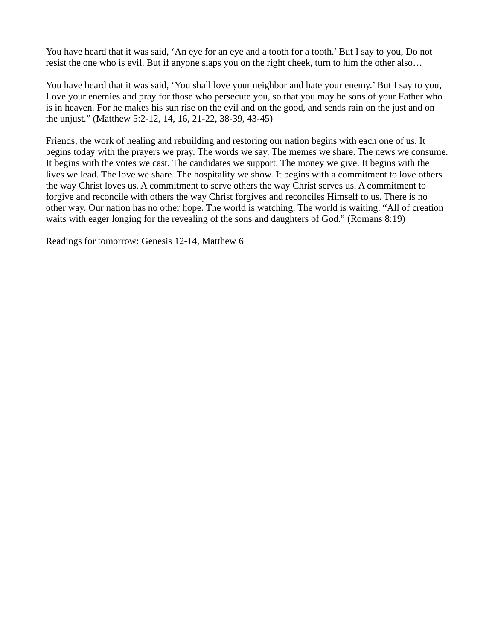You have heard that it was said, 'An eye for an eye and a tooth for a tooth.' But I say to you, Do not resist the one who is evil. But if anyone slaps you on the right cheek, turn to him the other also…

You have heard that it was said, 'You shall love your neighbor and hate your enemy.' But I say to you, Love your enemies and pray for those who persecute you, so that you may be sons of your Father who is in heaven. For he makes his sun rise on the evil and on the good, and sends rain on the just and on the unjust." (Matthew 5:2-12, 14, 16, 21-22, 38-39, 43-45)

Friends, the work of healing and rebuilding and restoring our nation begins with each one of us. It begins today with the prayers we pray. The words we say. The memes we share. The news we consume. It begins with the votes we cast. The candidates we support. The money we give. It begins with the lives we lead. The love we share. The hospitality we show. It begins with a commitment to love others the way Christ loves us. A commitment to serve others the way Christ serves us. A commitment to forgive and reconcile with others the way Christ forgives and reconciles Himself to us. There is no other way. Our nation has no other hope. The world is watching. The world is waiting. "All of creation waits with eager longing for the revealing of the sons and daughters of God." (Romans 8:19)

Readings for tomorrow: Genesis 12-14, Matthew 6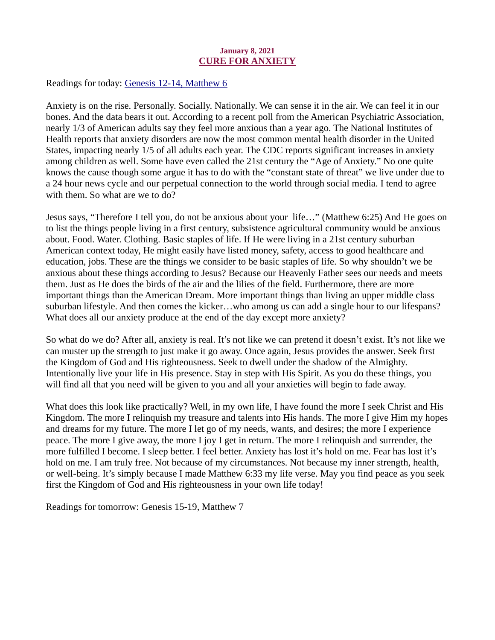## January 8, 2021 CURE FOR ANXIETY

<span id="page-8-0"></span>Readings for today[: Genesis 12-14, Matthew 6](https://www.biblegateway.com/passage/?search=Genesis+12-14%2C+Matthew+6&version=ESV)

Anxiety is on the rise. Personally. Socially. Nationally. We can sense it in the air. We can feel it in our bones. And the data bears it out. According to a recent poll from the American Psychiatric Association, nearly 1/3 of American adults say they feel more anxious than a year ago. The National Institutes of Health reports that anxiety disorders are now the most common mental health disorder in the United States, impacting nearly 1/5 of all adults each year. The CDC reports significant increases in anxiety among children as well. Some have even called the 21st century the "Age of Anxiety." No one quite knows the cause though some argue it has to do with the "constant state of threat" we live under due to a 24 hour news cycle and our perpetual connection to the world through social media. I tend to agree with them. So what are we to do?

Jesus says, "Therefore I tell you, do not be anxious about your life…" (Matthew 6:25) And He goes on to list the things people living in a first century, subsistence agricultural community would be anxious about. Food. Water. Clothing. Basic staples of life. If He were living in a 21st century suburban American context today, He might easily have listed money, safety, access to good healthcare and education, jobs. These are the things we consider to be basic staples of life. So why shouldn't we be anxious about these things according to Jesus? Because our Heavenly Father sees our needs and meets them. Just as He does the birds of the air and the lilies of the field. Furthermore, there are more important things than the American Dream. More important things than living an upper middle class suburban lifestyle. And then comes the kicker…who among us can add a single hour to our lifespans? What does all our anxiety produce at the end of the day except more anxiety?

So what do we do? After all, anxiety is real. It's not like we can pretend it doesn't exist. It's not like we can muster up the strength to just make it go away. Once again, Jesus provides the answer. Seek first the Kingdom of God and His righteousness. Seek to dwell under the shadow of the Almighty. Intentionally live your life in His presence. Stay in step with His Spirit. As you do these things, you will find all that you need will be given to you and all your anxieties will begin to fade away.

What does this look like practically? Well, in my own life, I have found the more I seek Christ and His Kingdom. The more I relinquish my treasure and talents into His hands. The more I give Him my hopes and dreams for my future. The more I let go of my needs, wants, and desires; the more I experience peace. The more I give away, the more I joy I get in return. The more I relinquish and surrender, the more fulfilled I become. I sleep better. I feel better. Anxiety has lost it's hold on me. Fear has lost it's hold on me. I am truly free. Not because of my circumstances. Not because my inner strength, health, or well-being. It's simply because I made Matthew 6:33 my life verse. May you find peace as you seek first the Kingdom of God and His righteousness in your own life today!

Readings for tomorrow: Genesis 15-19, Matthew 7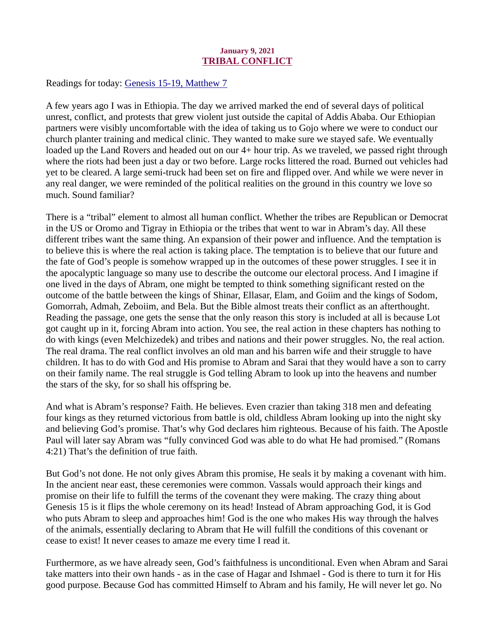## January 9, 2021 TRIBAL CONFLICT

<span id="page-9-0"></span>Readings for today[: Genesis 15-19, Matthew 7](https://www.biblegateway.com/passage/?search=Genesis+15-19%2C+Matthew+7&version=ESV)

A few years ago I was in Ethiopia. The day we arrived marked the end of several days of political unrest, conflict, and protests that grew violent just outside the capital of Addis Ababa. Our Ethiopian partners were visibly uncomfortable with the idea of taking us to Gojo where we were to conduct our church planter training and medical clinic. They wanted to make sure we stayed safe. We eventually loaded up the Land Rovers and headed out on our 4+ hour trip. As we traveled, we passed right through where the riots had been just a day or two before. Large rocks littered the road. Burned out vehicles had yet to be cleared. A large semi-truck had been set on fire and flipped over. And while we were never in any real danger, we were reminded of the political realities on the ground in this country we love so much. Sound familiar?

There is a "tribal" element to almost all human conflict. Whether the tribes are Republican or Democrat in the US or Oromo and Tigray in Ethiopia or the tribes that went to war in Abram's day. All these different tribes want the same thing. An expansion of their power and influence. And the temptation is to believe this is where the real action is taking place. The temptation is to believe that our future and the fate of God's people is somehow wrapped up in the outcomes of these power struggles. I see it in the apocalyptic language so many use to describe the outcome our electoral process. And I imagine if one lived in the days of Abram, one might be tempted to think something significant rested on the outcome of the battle between the kings of Shinar, Ellasar, Elam, and Goiim and the kings of Sodom, Gomorrah, Admah, Zeboiim, and Bela. But the Bible almost treats their conflict as an afterthought. Reading the passage, one gets the sense that the only reason this story is included at all is because Lot got caught up in it, forcing Abram into action. You see, the real action in these chapters has nothing to do with kings (even Melchizedek) and tribes and nations and their power struggles. No, the real action. The real drama. The real conflict involves an old man and his barren wife and their struggle to have children. It has to do with God and His promise to Abram and Sarai that they would have a son to carry on their family name. The real struggle is God telling Abram to look up into the heavens and number the stars of the sky, for so shall his offspring be.

And what is Abram's response? Faith. He believes. Even crazier than taking 318 men and defeating four kings as they returned victorious from battle is old, childless Abram looking up into the night sky and believing God's promise. That's why God declares him righteous. Because of his faith. The Apostle Paul will later say Abram was "fully convinced God was able to do what He had promised." (Romans 4:21) That's the definition of true faith.

But God's not done. He not only gives Abram this promise, He seals it by making a covenant with him. In the ancient near east, these ceremonies were common. Vassals would approach their kings and promise on their life to fulfill the terms of the covenant they were making. The crazy thing about Genesis 15 is it flips the whole ceremony on its head! Instead of Abram approaching God, it is God who puts Abram to sleep and approaches him! God is the one who makes His way through the halves of the animals, essentially declaring to Abram that He will fulfill the conditions of this covenant or cease to exist! It never ceases to amaze me every time I read it.

Furthermore, as we have already seen, God's faithfulness is unconditional. Even when Abram and Sarai take matters into their own hands - as in the case of Hagar and Ishmael - God is there to turn it for His good purpose. Because God has committed Himself to Abram and his family, He will never let go. No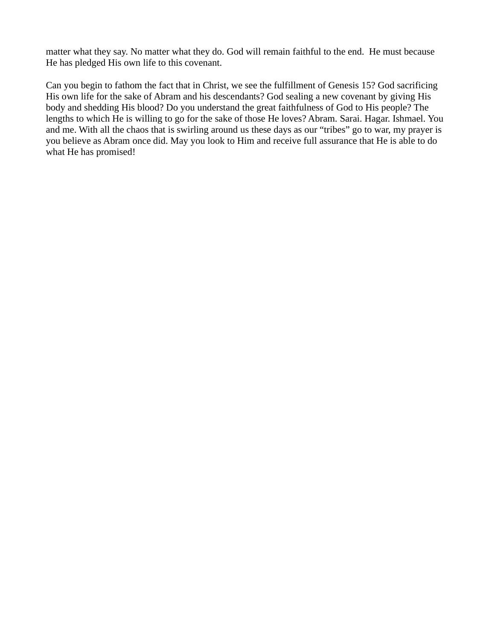matter what they say. No matter what they do. God will remain faithful to the end. He must because He has pledged His own life to this covenant.

Can you begin to fathom the fact that in Christ, we see the fulfillment of Genesis 15? God sacrificing His own life for the sake of Abram and his descendants? God sealing a new covenant by giving His body and shedding His blood? Do you understand the great faithfulness of God to His people? The lengths to which He is willing to go for the sake of those He loves? Abram. Sarai. Hagar. Ishmael. You and me. With all the chaos that is swirling around us these days as our "tribes" go to war, my prayer is you believe as Abram once did. May you look to Him and receive full assurance that He is able to do what He has promised!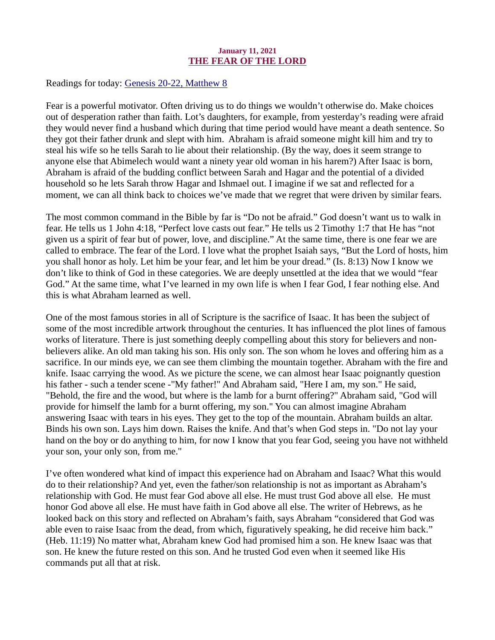## January 11, 2021 THE FEAR OF THE LORD

<span id="page-11-0"></span>Readings for today[: Genesis 20-22, Matthew 8](https://www.biblegateway.com/passage/?search=Genesis+20-22%2C+Matthew+8&version=ESV)

Fear is a powerful motivator. Often driving us to do things we wouldn't otherwise do. Make choices out of desperation rather than faith. Lot's daughters, for example, from yesterday's reading were afraid they would never find a husband which during that time period would have meant a death sentence. So they got their father drunk and slept with him. Abraham is afraid someone might kill him and try to steal his wife so he tells Sarah to lie about their relationship. (By the way, does it seem strange to anyone else that Abimelech would want a ninety year old woman in his harem?) After Isaac is born, Abraham is afraid of the budding conflict between Sarah and Hagar and the potential of a divided household so he lets Sarah throw Hagar and Ishmael out. I imagine if we sat and reflected for a moment, we can all think back to choices we've made that we regret that were driven by similar fears.

The most common command in the Bible by far is "Do not be afraid." God doesn't want us to walk in fear. He tells us 1 John 4:18, "Perfect love casts out fear." He tells us 2 Timothy 1:7 that He has "not given us a spirit of fear but of power, love, and discipline." At the same time, there is one fear we are called to embrace. The fear of the Lord. I love what the prophet Isaiah says, "But the Lord of hosts, him you shall honor as holy. Let him be your fear, and let him be your dread." (Is. 8:13) Now I know we don't like to think of God in these categories. We are deeply unsettled at the idea that we would "fear God." At the same time, what I've learned in my own life is when I fear God, I fear nothing else. And this is what Abraham learned as well.

One of the most famous stories in all of Scripture is the sacrifice of Isaac. It has been the subject of some of the most incredible artwork throughout the centuries. It has influenced the plot lines of famous works of literature. There is just something deeply compelling about this story for believers and nonbelievers alike. An old man taking his son. His only son. The son whom he loves and offering him as a sacrifice. In our minds eye, we can see them climbing the mountain together. Abraham with the fire and knife. Isaac carrying the wood. As we picture the scene, we can almost hear Isaac poignantly question his father - such a tender scene -"My father!" And Abraham said, "Here I am, my son." He said, "Behold, the fire and the wood, but where is the lamb for a burnt offering?" Abraham said, "God will provide for himself the lamb for a burnt offering, my son." You can almost imagine Abraham answering Isaac with tears in his eyes. They get to the top of the mountain. Abraham builds an altar. Binds his own son. Lays him down. Raises the knife. And that's when God steps in. "Do not lay your hand on the boy or do anything to him, for now I know that you fear God, seeing you have not withheld your son, your only son, from me."

I've often wondered what kind of impact this experience had on Abraham and Isaac? What this would do to their relationship? And yet, even the father/son relationship is not as important as Abraham's relationship with God. He must fear God above all else. He must trust God above all else. He must honor God above all else. He must have faith in God above all else. The writer of Hebrews, as he looked back on this story and reflected on Abraham's faith, says Abraham "considered that God was able even to raise Isaac from the dead, from which, figuratively speaking, he did receive him back." (Heb. 11:19) No matter what, Abraham knew God had promised him a son. He knew Isaac was that son. He knew the future rested on this son. And he trusted God even when it seemed like His commands put all that at risk.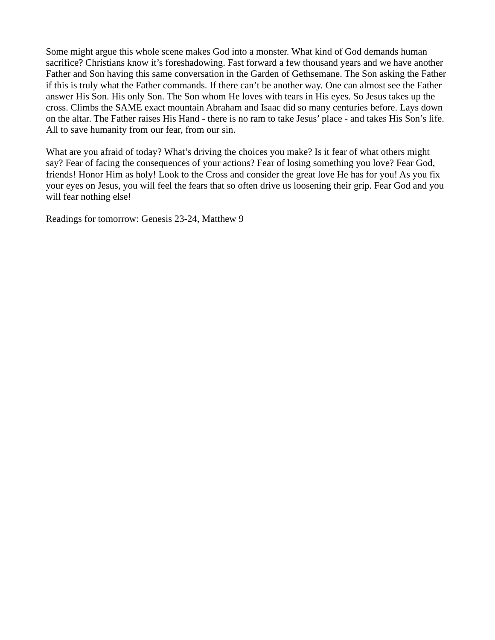Some might argue this whole scene makes God into a monster. What kind of God demands human sacrifice? Christians know it's foreshadowing. Fast forward a few thousand years and we have another Father and Son having this same conversation in the Garden of Gethsemane. The Son asking the Father if this is truly what the Father commands. If there can't be another way. One can almost see the Father answer His Son. His only Son. The Son whom He loves with tears in His eyes. So Jesus takes up the cross. Climbs the SAME exact mountain Abraham and Isaac did so many centuries before. Lays down on the altar. The Father raises His Hand - there is no ram to take Jesus' place - and takes His Son's life. All to save humanity from our fear, from our sin.

What are you afraid of today? What's driving the choices you make? Is it fear of what others might say? Fear of facing the consequences of your actions? Fear of losing something you love? Fear God, friends! Honor Him as holy! Look to the Cross and consider the great love He has for you! As you fix your eyes on Jesus, you will feel the fears that so often drive us loosening their grip. Fear God and you will fear nothing else!

Readings for tomorrow: Genesis 23-24, Matthew 9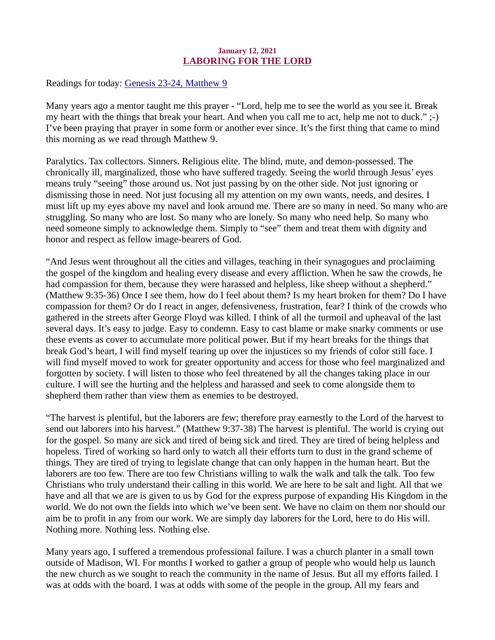## January 12, 2021 LABORING FOR THE LORD

<span id="page-13-0"></span>Readings for today[: Genesis 23-24, Matthew 9](https://www.biblegateway.com/passage/?search=Genesis+23-24%2C+Matthew+9&version=ESV)

Many years ago a mentor taught me this prayer - "Lord, help me to see the world as you see it. Break my heart with the things that break your heart. And when you call me to act, help me not to duck." ;-) I've been praying that prayer in some form or another ever since. It's the first thing that came to mind this morning as we read through Matthew 9.

Paralytics. Tax collectors. Sinners. Religious elite. The blind, mute, and demon-possessed. The chronically ill, marginalized, those who have suffered tragedy. Seeing the world through Jesus' eyes means truly "seeing" those around us. Not just passing by on the other side. Not just ignoring or dismissing those in need. Not just focusing all my attention on my own wants, needs, and desires. I must lift up my eyes above my navel and look around me. There are so many in need. So many who are struggling. So many who are lost. So many who are lonely. So many who need help. So many who need someone simply to acknowledge them. Simply to "see" them and treat them with dignity and honor and respect as fellow image-bearers of God.

"And Jesus went throughout all the cities and villages, teaching in their synagogues and proclaiming the gospel of the kingdom and healing every disease and every affliction. When he saw the crowds, he had compassion for them, because they were harassed and helpless, like sheep without a shepherd." (Matthew 9:35-36) Once I see them, how do I feel about them? Is my heart broken for them? Do I have compassion for them? Or do I react in anger, defensiveness, frustration, fear? I think of the crowds who gathered in the streets after George Floyd was killed. I think of all the turmoil and upheaval of the last several days. It's easy to judge. Easy to condemn. Easy to cast blame or make snarky comments or use these events as cover to accumulate more political power. But if my heart breaks for the things that break God's heart, I will find myself tearing up over the injustices so my friends of color still face. I will find myself moved to work for greater opportunity and access for those who feel marginalized and forgotten by society. I will listen to those who feel threatened by all the changes taking place in our culture. I will see the hurting and the helpless and harassed and seek to come alongside them to shepherd them rather than view them as enemies to be destroyed.

"The harvest is plentiful, but the laborers are few; therefore pray earnestly to the Lord of the harvest to send out laborers into his harvest." (Matthew 9:37-38) The harvest is plentiful. The world is crying out for the gospel. So many are sick and tired of being sick and tired. They are tired of being helpless and hopeless. Tired of working so hard only to watch all their efforts turn to dust in the grand scheme of things. They are tired of trying to legislate change that can only happen in the human heart. But the laborers are too few. There are too few Christians willing to walk the walk and talk the talk. Too few Christians who truly understand their calling in this world. We are here to be salt and light. All that we have and all that we are is given to us by God for the express purpose of expanding His Kingdom in the world. We do not own the fields into which we've been sent. We have no claim on them nor should our aim be to profit in any from our work. We are simply day laborers for the Lord, here to do His will. Nothing more. Nothing less. Nothing else.

Many years ago, I suffered a tremendous professional failure. I was a church planter in a small town outside of Madison, WI. For months I worked to gather a group of people who would help us launch the new church as we sought to reach the community in the name of Jesus. But all my efforts failed. I was at odds with the board. I was at odds with some of the people in the group. All my fears and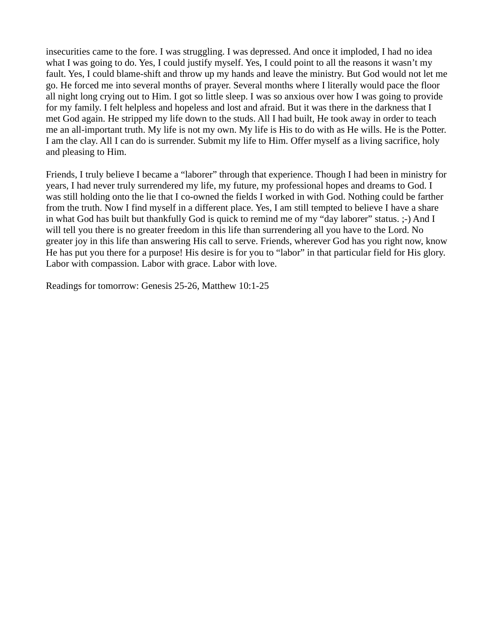insecurities came to the fore. I was struggling. I was depressed. And once it imploded, I had no idea what I was going to do. Yes, I could justify myself. Yes, I could point to all the reasons it wasn't my fault. Yes, I could blame-shift and throw up my hands and leave the ministry. But God would not let me go. He forced me into several months of prayer. Several months where I literally would pace the floor all night long crying out to Him. I got so little sleep. I was so anxious over how I was going to provide for my family. I felt helpless and hopeless and lost and afraid. But it was there in the darkness that I met God again. He stripped my life down to the studs. All I had built, He took away in order to teach me an all-important truth. My life is not my own. My life is His to do with as He wills. He is the Potter. I am the clay. All I can do is surrender. Submit my life to Him. Offer myself as a living sacrifice, holy and pleasing to Him.

Friends, I truly believe I became a "laborer" through that experience. Though I had been in ministry for years, I had never truly surrendered my life, my future, my professional hopes and dreams to God. I was still holding onto the lie that I co-owned the fields I worked in with God. Nothing could be farther from the truth. Now I find myself in a different place. Yes, I am still tempted to believe I have a share in what God has built but thankfully God is quick to remind me of my "day laborer" status. ;-) And I will tell you there is no greater freedom in this life than surrendering all you have to the Lord. No greater joy in this life than answering His call to serve. Friends, wherever God has you right now, know He has put you there for a purpose! His desire is for you to "labor" in that particular field for His glory. Labor with compassion. Labor with grace. Labor with love.

Readings for tomorrow: Genesis 25-26, Matthew 10:1-25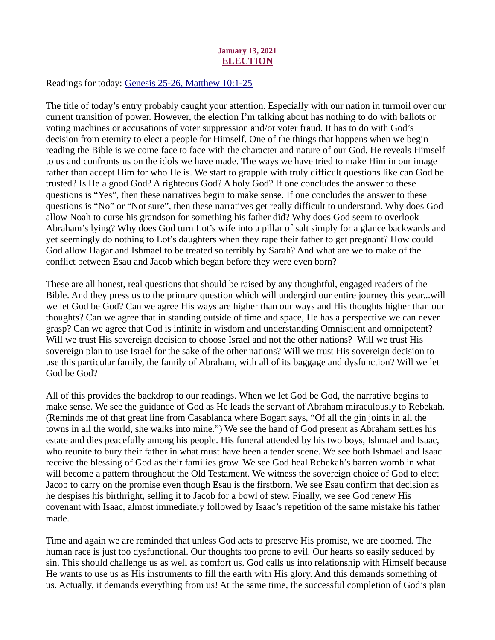## January 13, 2021 **ELECTION**

<span id="page-15-0"></span>Readings for today: [Genesis 25-26, Matthew 10:1-25](https://www.biblegateway.com/passage/?search=Genesis+25-26%2C+Matthew+10%3A1-25&version=ESV)

The title of today's entry probably caught your attention. Especially with our nation in turmoil over our current transition of power. However, the election I'm talking about has nothing to do with ballots or voting machines or accusations of voter suppression and/or voter fraud. It has to do with God's decision from eternity to elect a people for Himself. One of the things that happens when we begin reading the Bible is we come face to face with the character and nature of our God. He reveals Himself to us and confronts us on the idols we have made. The ways we have tried to make Him in our image rather than accept Him for who He is. We start to grapple with truly difficult questions like can God be trusted? Is He a good God? A righteous God? A holy God? If one concludes the answer to these questions is "Yes", then these narratives begin to make sense. If one concludes the answer to these questions is "No" or "Not sure", then these narratives get really difficult to understand. Why does God allow Noah to curse his grandson for something his father did? Why does God seem to overlook Abraham's lying? Why does God turn Lot's wife into a pillar of salt simply for a glance backwards and yet seemingly do nothing to Lot's daughters when they rape their father to get pregnant? How could God allow Hagar and Ishmael to be treated so terribly by Sarah? And what are we to make of the conflict between Esau and Jacob which began before they were even born?

These are all honest, real questions that should be raised by any thoughtful, engaged readers of the Bible. And they press us to the primary question which will undergird our entire journey this year...will we let God be God? Can we agree His ways are higher than our ways and His thoughts higher than our thoughts? Can we agree that in standing outside of time and space, He has a perspective we can never grasp? Can we agree that God is infinite in wisdom and understanding Omniscient and omnipotent? Will we trust His sovereign decision to choose Israel and not the other nations? Will we trust His sovereign plan to use Israel for the sake of the other nations? Will we trust His sovereign decision to use this particular family, the family of Abraham, with all of its baggage and dysfunction? Will we let God be God?

All of this provides the backdrop to our readings. When we let God be God, the narrative begins to make sense. We see the guidance of God as He leads the servant of Abraham miraculously to Rebekah. (Reminds me of that great line from Casablanca where Bogart says, "Of all the gin joints in all the towns in all the world, she walks into mine.") We see the hand of God present as Abraham settles his estate and dies peacefully among his people. His funeral attended by his two boys, Ishmael and Isaac, who reunite to bury their father in what must have been a tender scene. We see both Ishmael and Isaac receive the blessing of God as their families grow. We see God heal Rebekah's barren womb in what will become a pattern throughout the Old Testament. We witness the sovereign choice of God to elect Jacob to carry on the promise even though Esau is the firstborn. We see Esau confirm that decision as he despises his birthright, selling it to Jacob for a bowl of stew. Finally, we see God renew His covenant with Isaac, almost immediately followed by Isaac's repetition of the same mistake his father made.

Time and again we are reminded that unless God acts to preserve His promise, we are doomed. The human race is just too dysfunctional. Our thoughts too prone to evil. Our hearts so easily seduced by sin. This should challenge us as well as comfort us. God calls us into relationship with Himself because He wants to use us as His instruments to fill the earth with His glory. And this demands something of us. Actually, it demands everything from us! At the same time, the successful completion of God's plan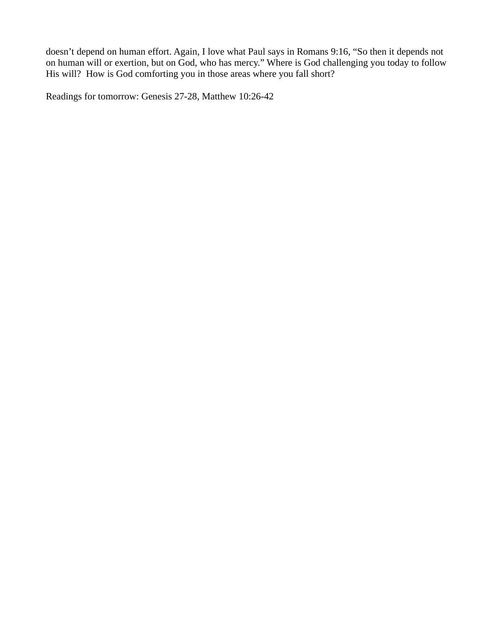doesn't depend on human effort. Again, I love what Paul says in Romans 9:16, "So then it depends not on human will or exertion, but on God, who has mercy." Where is God challenging you today to follow His will? How is God comforting you in those areas where you fall short?

Readings for tomorrow: Genesis 27-28, Matthew 10:26-42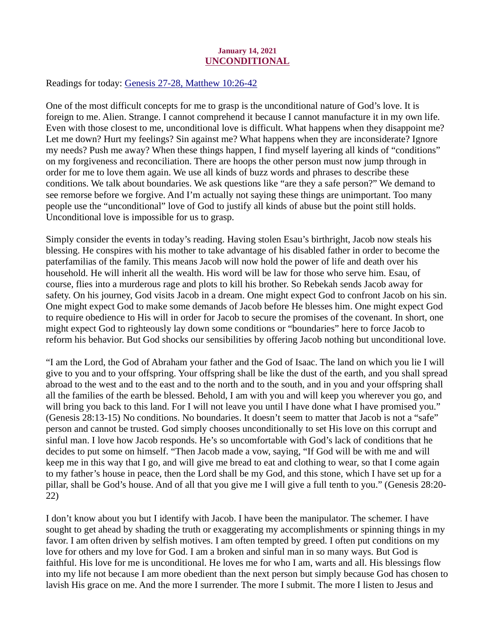## January 14, 2021 UNCONDITIONAL

<span id="page-17-0"></span>Readings for today[: Genesis 27-28, Matthew 10:26-42](https://www.biblegateway.com/passage/?search=Genesis+27-28%2C+Matthew+10%3A26-42&version=ESV)

One of the most difficult concepts for me to grasp is the unconditional nature of God's love. It is foreign to me. Alien. Strange. I cannot comprehend it because I cannot manufacture it in my own life. Even with those closest to me, unconditional love is difficult. What happens when they disappoint me? Let me down? Hurt my feelings? Sin against me? What happens when they are inconsiderate? Ignore my needs? Push me away? When these things happen, I find myself layering all kinds of "conditions" on my forgiveness and reconciliation. There are hoops the other person must now jump through in order for me to love them again. We use all kinds of buzz words and phrases to describe these conditions. We talk about boundaries. We ask questions like "are they a safe person?" We demand to see remorse before we forgive. And I'm actually not saying these things are unimportant. Too many people use the "unconditional" love of God to justify all kinds of abuse but the point still holds. Unconditional love is impossible for us to grasp.

Simply consider the events in today's reading. Having stolen Esau's birthright, Jacob now steals his blessing. He conspires with his mother to take advantage of his disabled father in order to become the paterfamilias of the family. This means Jacob will now hold the power of life and death over his household. He will inherit all the wealth. His word will be law for those who serve him. Esau, of course, flies into a murderous rage and plots to kill his brother. So Rebekah sends Jacob away for safety. On his journey, God visits Jacob in a dream. One might expect God to confront Jacob on his sin. One might expect God to make some demands of Jacob before He blesses him. One might expect God to require obedience to His will in order for Jacob to secure the promises of the covenant. In short, one might expect God to righteously lay down some conditions or "boundaries" here to force Jacob to reform his behavior. But God shocks our sensibilities by offering Jacob nothing but unconditional love.

"I am the Lord, the God of Abraham your father and the God of Isaac. The land on which you lie I will give to you and to your offspring. Your offspring shall be like the dust of the earth, and you shall spread abroad to the west and to the east and to the north and to the south, and in you and your offspring shall all the families of the earth be blessed. Behold, I am with you and will keep you wherever you go, and will bring you back to this land. For I will not leave you until I have done what I have promised you." (Genesis 28:13-15) No conditions. No boundaries. It doesn't seem to matter that Jacob is not a "safe" person and cannot be trusted. God simply chooses unconditionally to set His love on this corrupt and sinful man. I love how Jacob responds. He's so uncomfortable with God's lack of conditions that he decides to put some on himself. "Then Jacob made a vow, saying, "If God will be with me and will keep me in this way that I go, and will give me bread to eat and clothing to wear, so that I come again to my father's house in peace, then the Lord shall be my God, and this stone, which I have set up for a pillar, shall be God's house. And of all that you give me I will give a full tenth to you." (Genesis 28:20- 22)

I don't know about you but I identify with Jacob. I have been the manipulator. The schemer. I have sought to get ahead by shading the truth or exaggerating my accomplishments or spinning things in my favor. I am often driven by selfish motives. I am often tempted by greed. I often put conditions on my love for others and my love for God. I am a broken and sinful man in so many ways. But God is faithful. His love for me is unconditional. He loves me for who I am, warts and all. His blessings flow into my life not because I am more obedient than the next person but simply because God has chosen to lavish His grace on me. And the more I surrender. The more I submit. The more I listen to Jesus and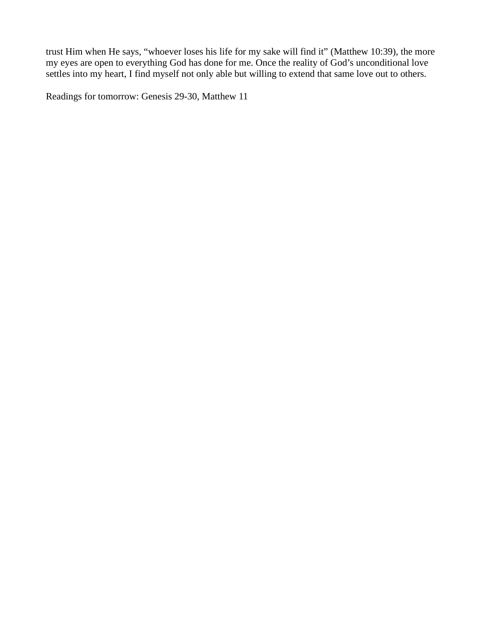trust Him when He says, "whoever loses his life for my sake will find it" (Matthew 10:39), the more my eyes are open to everything God has done for me. Once the reality of God's unconditional love settles into my heart, I find myself not only able but willing to extend that same love out to others.

Readings for tomorrow: Genesis 29-30, Matthew 11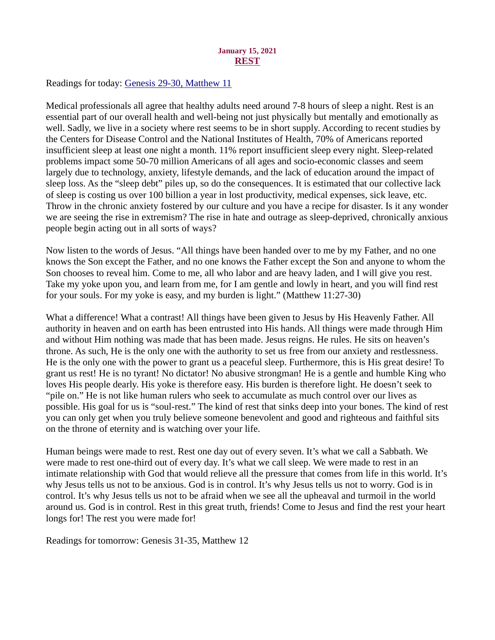## January 15, 2021 REST

<span id="page-19-0"></span>Readings for today: [Genesis 29-30, Matthew 11](https://www.biblegateway.com/passage/?search=Genesis+29-30%2C+Matthew+11&version=ESV)

Medical professionals all agree that healthy adults need around 7-8 hours of sleep a night. Rest is an essential part of our overall health and well-being not just physically but mentally and emotionally as well. Sadly, we live in a society where rest seems to be in short supply. According to recent studies by the Centers for Disease Control and the National Institutes of Health, 70% of Americans reported insufficient sleep at least one night a month. 11% report insufficient sleep every night. Sleep-related problems impact some 50-70 million Americans of all ages and socio-economic classes and seem largely due to technology, anxiety, lifestyle demands, and the lack of education around the impact of sleep loss. As the "sleep debt" piles up, so do the consequences. It is estimated that our collective lack of sleep is costing us over 100 billion a year in lost productivity, medical expenses, sick leave, etc. Throw in the chronic anxiety fostered by our culture and you have a recipe for disaster. Is it any wonder we are seeing the rise in extremism? The rise in hate and outrage as sleep-deprived, chronically anxious people begin acting out in all sorts of ways?

Now listen to the words of Jesus. "All things have been handed over to me by my Father, and no one knows the Son except the Father, and no one knows the Father except the Son and anyone to whom the Son chooses to reveal him. Come to me, all who labor and are heavy laden, and I will give you rest. Take my yoke upon you, and learn from me, for I am gentle and lowly in heart, and you will find rest for your souls. For my yoke is easy, and my burden is light." (Matthew 11:27-30)

What a difference! What a contrast! All things have been given to Jesus by His Heavenly Father. All authority in heaven and on earth has been entrusted into His hands. All things were made through Him and without Him nothing was made that has been made. Jesus reigns. He rules. He sits on heaven's throne. As such, He is the only one with the authority to set us free from our anxiety and restlessness. He is the only one with the power to grant us a peaceful sleep. Furthermore, this is His great desire! To grant us rest! He is no tyrant! No dictator! No abusive strongman! He is a gentle and humble King who loves His people dearly. His yoke is therefore easy. His burden is therefore light. He doesn't seek to "pile on." He is not like human rulers who seek to accumulate as much control over our lives as possible. His goal for us is "soul-rest." The kind of rest that sinks deep into your bones. The kind of rest you can only get when you truly believe someone benevolent and good and righteous and faithful sits on the throne of eternity and is watching over your life.

Human beings were made to rest. Rest one day out of every seven. It's what we call a Sabbath. We were made to rest one-third out of every day. It's what we call sleep. We were made to rest in an intimate relationship with God that would relieve all the pressure that comes from life in this world. It's why Jesus tells us not to be anxious. God is in control. It's why Jesus tells us not to worry. God is in control. It's why Jesus tells us not to be afraid when we see all the upheaval and turmoil in the world around us. God is in control. Rest in this great truth, friends! Come to Jesus and find the rest your heart longs for! The rest you were made for!

Readings for tomorrow: Genesis 31-35, Matthew 12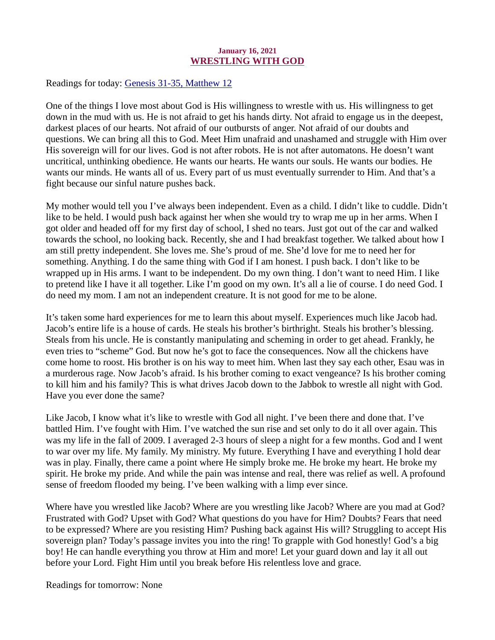## January 16, 2021 WRESTLING WITH GOD

<span id="page-20-0"></span>Readings for today: [Genesis 31-35, Matthew 12](https://www.biblegateway.com/passage/?search=Genesis+31-35%2C+Matthew+12&version=ESV)

One of the things I love most about God is His willingness to wrestle with us. His willingness to get down in the mud with us. He is not afraid to get his hands dirty. Not afraid to engage us in the deepest, darkest places of our hearts. Not afraid of our outbursts of anger. Not afraid of our doubts and questions. We can bring all this to God. Meet Him unafraid and unashamed and struggle with Him over His sovereign will for our lives. God is not after robots. He is not after automatons. He doesn't want uncritical, unthinking obedience. He wants our hearts. He wants our souls. He wants our bodies. He wants our minds. He wants all of us. Every part of us must eventually surrender to Him. And that's a fight because our sinful nature pushes back.

My mother would tell you I've always been independent. Even as a child. I didn't like to cuddle. Didn't like to be held. I would push back against her when she would try to wrap me up in her arms. When I got older and headed off for my first day of school, I shed no tears. Just got out of the car and walked towards the school, no looking back. Recently, she and I had breakfast together. We talked about how I am still pretty independent. She loves me. She's proud of me. She'd love for me to need her for something. Anything. I do the same thing with God if I am honest. I push back. I don't like to be wrapped up in His arms. I want to be independent. Do my own thing. I don't want to need Him. I like to pretend like I have it all together. Like I'm good on my own. It's all a lie of course. I do need God. I do need my mom. I am not an independent creature. It is not good for me to be alone.

It's taken some hard experiences for me to learn this about myself. Experiences much like Jacob had. Jacob's entire life is a house of cards. He steals his brother's birthright. Steals his brother's blessing. Steals from his uncle. He is constantly manipulating and scheming in order to get ahead. Frankly, he even tries to "scheme" God. But now he's got to face the consequences. Now all the chickens have come home to roost. His brother is on his way to meet him. When last they say each other, Esau was in a murderous rage. Now Jacob's afraid. Is his brother coming to exact vengeance? Is his brother coming to kill him and his family? This is what drives Jacob down to the Jabbok to wrestle all night with God. Have you ever done the same?

Like Jacob, I know what it's like to wrestle with God all night. I've been there and done that. I've battled Him. I've fought with Him. I've watched the sun rise and set only to do it all over again. This was my life in the fall of 2009. I averaged 2-3 hours of sleep a night for a few months. God and I went to war over my life. My family. My ministry. My future. Everything I have and everything I hold dear was in play. Finally, there came a point where He simply broke me. He broke my heart. He broke my spirit. He broke my pride. And while the pain was intense and real, there was relief as well. A profound sense of freedom flooded my being. I've been walking with a limp ever since.

Where have you wrestled like Jacob? Where are you wrestling like Jacob? Where are you mad at God? Frustrated with God? Upset with God? What questions do you have for Him? Doubts? Fears that need to be expressed? Where are you resisting Him? Pushing back against His will? Struggling to accept His sovereign plan? Today's passage invites you into the ring! To grapple with God honestly! God's a big boy! He can handle everything you throw at Him and more! Let your guard down and lay it all out before your Lord. Fight Him until you break before His relentless love and grace.

Readings for tomorrow: None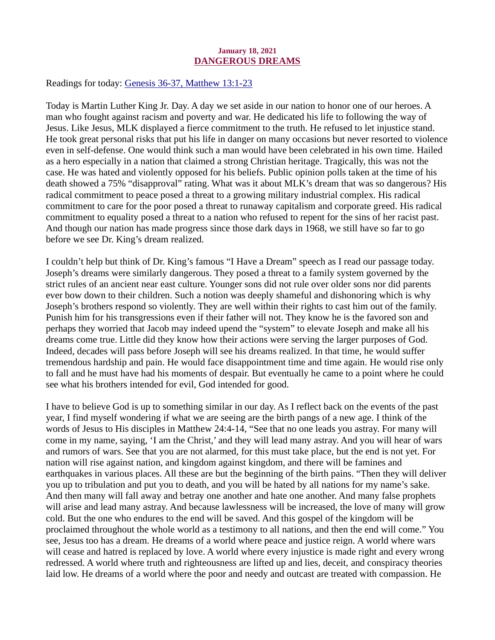#### January 18, 2021 DANGEROUS DREAMS

<span id="page-21-0"></span>Readings for today[: Genesis 36-37, Matthew 13:1-23](https://www.biblegateway.com/passage/?search=Genesis+36-37%2C+Matthew+13%3A1-23&version=ESV)

Today is Martin Luther King Jr. Day. A day we set aside in our nation to honor one of our heroes. A man who fought against racism and poverty and war. He dedicated his life to following the way of Jesus. Like Jesus, MLK displayed a fierce commitment to the truth. He refused to let injustice stand. He took great personal risks that put his life in danger on many occasions but never resorted to violence even in self-defense. One would think such a man would have been celebrated in his own time. Hailed as a hero especially in a nation that claimed a strong Christian heritage. Tragically, this was not the case. He was hated and violently opposed for his beliefs. Public opinion polls taken at the time of his death showed a 75% "disapproval" rating. What was it about MLK's dream that was so dangerous? His radical commitment to peace posed a threat to a growing military industrial complex. His radical commitment to care for the poor posed a threat to runaway capitalism and corporate greed. His radical commitment to equality posed a threat to a nation who refused to repent for the sins of her racist past. And though our nation has made progress since those dark days in 1968, we still have so far to go before we see Dr. King's dream realized.

I couldn't help but think of Dr. King's famous "I Have a Dream" speech as I read our passage today. Joseph's dreams were similarly dangerous. They posed a threat to a family system governed by the strict rules of an ancient near east culture. Younger sons did not rule over older sons nor did parents ever bow down to their children. Such a notion was deeply shameful and dishonoring which is why Joseph's brothers respond so violently. They are well within their rights to cast him out of the family. Punish him for his transgressions even if their father will not. They know he is the favored son and perhaps they worried that Jacob may indeed upend the "system" to elevate Joseph and make all his dreams come true. Little did they know how their actions were serving the larger purposes of God. Indeed, decades will pass before Joseph will see his dreams realized. In that time, he would suffer tremendous hardship and pain. He would face disappointment time and time again. He would rise only to fall and he must have had his moments of despair. But eventually he came to a point where he could see what his brothers intended for evil, God intended for good.

I have to believe God is up to something similar in our day. As I reflect back on the events of the past year, I find myself wondering if what we are seeing are the birth pangs of a new age. I think of the words of Jesus to His disciples in Matthew 24:4-14, "See that no one leads you astray. For many will come in my name, saying, 'I am the Christ,' and they will lead many astray. And you will hear of wars and rumors of wars. See that you are not alarmed, for this must take place, but the end is not yet. For nation will rise against nation, and kingdom against kingdom, and there will be famines and earthquakes in various places. All these are but the beginning of the birth pains. "Then they will deliver you up to tribulation and put you to death, and you will be hated by all nations for my name's sake. And then many will fall away and betray one another and hate one another. And many false prophets will arise and lead many astray. And because lawlessness will be increased, the love of many will grow cold. But the one who endures to the end will be saved. And this gospel of the kingdom will be proclaimed throughout the whole world as a testimony to all nations, and then the end will come." You see, Jesus too has a dream. He dreams of a world where peace and justice reign. A world where wars will cease and hatred is replaced by love. A world where every injustice is made right and every wrong redressed. A world where truth and righteousness are lifted up and lies, deceit, and conspiracy theories laid low. He dreams of a world where the poor and needy and outcast are treated with compassion. He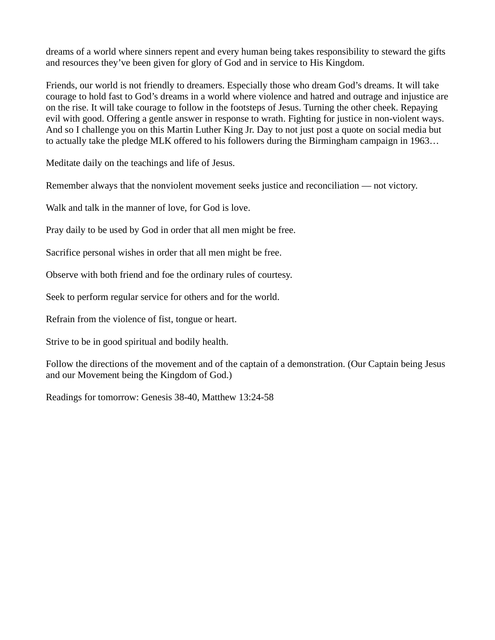dreams of a world where sinners repent and every human being takes responsibility to steward the gifts and resources they've been given for glory of God and in service to His Kingdom.

Friends, our world is not friendly to dreamers. Especially those who dream God's dreams. It will take courage to hold fast to God's dreams in a world where violence and hatred and outrage and injustice are on the rise. It will take courage to follow in the footsteps of Jesus. Turning the other cheek. Repaying evil with good. Offering a gentle answer in response to wrath. Fighting for justice in non-violent ways. And so I challenge you on this Martin Luther King Jr. Day to not just post a quote on social media but to actually take the pledge MLK offered to his followers during the Birmingham campaign in 1963…

Meditate daily on the teachings and life of Jesus.

Remember always that the nonviolent movement seeks justice and reconciliation — not victory.

Walk and talk in the manner of love, for God is love.

Pray daily to be used by God in order that all men might be free.

Sacrifice personal wishes in order that all men might be free.

Observe with both friend and foe the ordinary rules of courtesy.

Seek to perform regular service for others and for the world.

Refrain from the violence of fist, tongue or heart.

Strive to be in good spiritual and bodily health.

Follow the directions of the movement and of the captain of a demonstration. (Our Captain being Jesus and our Movement being the Kingdom of God.)

Readings for tomorrow: Genesis 38-40, Matthew 13:24-58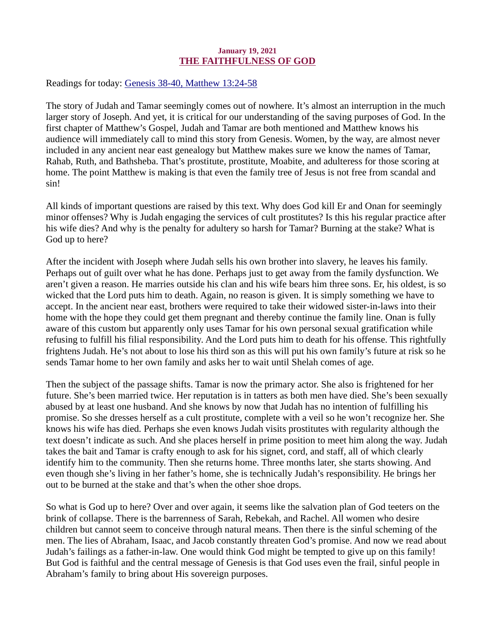### January 19, 2021 THE FAITHFULNESS OF GOD

<span id="page-23-0"></span>Readings for today[: Genesis 38-40, Matthew 13:24-58](https://www.biblegateway.com/passage/?search=Genesis+38-40%2C+Matthew+13%3A24-58&version=ESV)

The story of Judah and Tamar seemingly comes out of nowhere. It's almost an interruption in the much larger story of Joseph. And yet, it is critical for our understanding of the saving purposes of God. In the first chapter of Matthew's Gospel, Judah and Tamar are both mentioned and Matthew knows his audience will immediately call to mind this story from Genesis. Women, by the way, are almost never included in any ancient near east genealogy but Matthew makes sure we know the names of Tamar, Rahab, Ruth, and Bathsheba. That's prostitute, prostitute, Moabite, and adulteress for those scoring at home. The point Matthew is making is that even the family tree of Jesus is not free from scandal and sin!

All kinds of important questions are raised by this text. Why does God kill Er and Onan for seemingly minor offenses? Why is Judah engaging the services of cult prostitutes? Is this his regular practice after his wife dies? And why is the penalty for adultery so harsh for Tamar? Burning at the stake? What is God up to here?

After the incident with Joseph where Judah sells his own brother into slavery, he leaves his family. Perhaps out of guilt over what he has done. Perhaps just to get away from the family dysfunction. We aren't given a reason. He marries outside his clan and his wife bears him three sons. Er, his oldest, is so wicked that the Lord puts him to death. Again, no reason is given. It is simply something we have to accept. In the ancient near east, brothers were required to take their widowed sister-in-laws into their home with the hope they could get them pregnant and thereby continue the family line. Onan is fully aware of this custom but apparently only uses Tamar for his own personal sexual gratification while refusing to fulfill his filial responsibility. And the Lord puts him to death for his offense. This rightfully frightens Judah. He's not about to lose his third son as this will put his own family's future at risk so he sends Tamar home to her own family and asks her to wait until Shelah comes of age.

Then the subject of the passage shifts. Tamar is now the primary actor. She also is frightened for her future. She's been married twice. Her reputation is in tatters as both men have died. She's been sexually abused by at least one husband. And she knows by now that Judah has no intention of fulfilling his promise. So she dresses herself as a cult prostitute, complete with a veil so he won't recognize her. She knows his wife has died. Perhaps she even knows Judah visits prostitutes with regularity although the text doesn't indicate as such. And she places herself in prime position to meet him along the way. Judah takes the bait and Tamar is crafty enough to ask for his signet, cord, and staff, all of which clearly identify him to the community. Then she returns home. Three months later, she starts showing. And even though she's living in her father's home, she is technically Judah's responsibility. He brings her out to be burned at the stake and that's when the other shoe drops.

So what is God up to here? Over and over again, it seems like the salvation plan of God teeters on the brink of collapse. There is the barrenness of Sarah, Rebekah, and Rachel. All women who desire children but cannot seem to conceive through natural means. Then there is the sinful scheming of the men. The lies of Abraham, Isaac, and Jacob constantly threaten God's promise. And now we read about Judah's failings as a father-in-law. One would think God might be tempted to give up on this family! But God is faithful and the central message of Genesis is that God uses even the frail, sinful people in Abraham's family to bring about His sovereign purposes.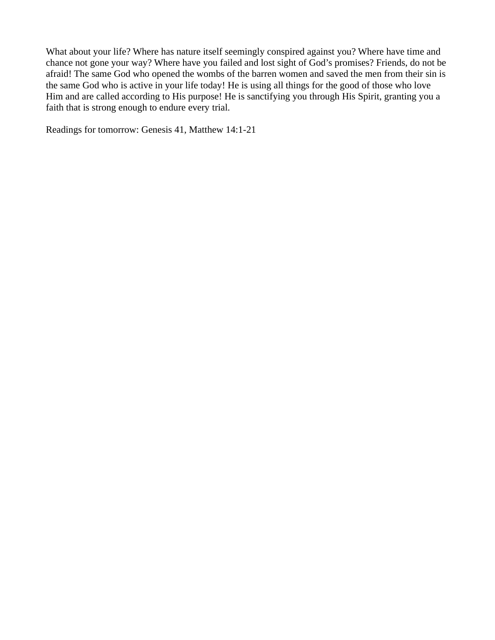What about your life? Where has nature itself seemingly conspired against you? Where have time and chance not gone your way? Where have you failed and lost sight of God's promises? Friends, do not be afraid! The same God who opened the wombs of the barren women and saved the men from their sin is the same God who is active in your life today! He is using all things for the good of those who love Him and are called according to His purpose! He is sanctifying you through His Spirit, granting you a faith that is strong enough to endure every trial.

Readings for tomorrow: Genesis 41, Matthew 14:1-21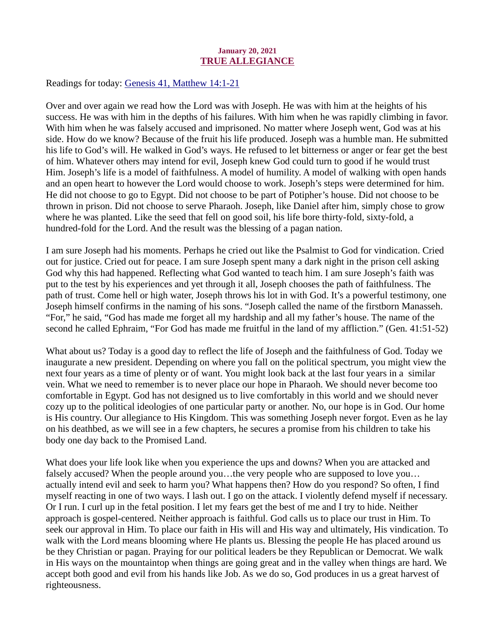## January 20, 2021 TRUE ALLEGIANCE

<span id="page-25-0"></span>Readings for today: [Genesis 41, Matthew 14:1-21](https://www.biblegateway.com/passage/?search=Genesis+41%2C+Matthew+14%3A1-21&version=ESV)

Over and over again we read how the Lord was with Joseph. He was with him at the heights of his success. He was with him in the depths of his failures. With him when he was rapidly climbing in favor. With him when he was falsely accused and imprisoned. No matter where Joseph went, God was at his side. How do we know? Because of the fruit his life produced. Joseph was a humble man. He submitted his life to God's will. He walked in God's ways. He refused to let bitterness or anger or fear get the best of him. Whatever others may intend for evil, Joseph knew God could turn to good if he would trust Him. Joseph's life is a model of faithfulness. A model of humility. A model of walking with open hands and an open heart to however the Lord would choose to work. Joseph's steps were determined for him. He did not choose to go to Egypt. Did not choose to be part of Potipher's house. Did not choose to be thrown in prison. Did not choose to serve Pharaoh. Joseph, like Daniel after him, simply chose to grow where he was planted. Like the seed that fell on good soil, his life bore thirty-fold, sixty-fold, a hundred-fold for the Lord. And the result was the blessing of a pagan nation.

I am sure Joseph had his moments. Perhaps he cried out like the Psalmist to God for vindication. Cried out for justice. Cried out for peace. I am sure Joseph spent many a dark night in the prison cell asking God why this had happened. Reflecting what God wanted to teach him. I am sure Joseph's faith was put to the test by his experiences and yet through it all, Joseph chooses the path of faithfulness. The path of trust. Come hell or high water, Joseph throws his lot in with God. It's a powerful testimony, one Joseph himself confirms in the naming of his sons. "Joseph called the name of the firstborn Manasseh. "For," he said, "God has made me forget all my hardship and all my father's house. The name of the second he called Ephraim, "For God has made me fruitful in the land of my affliction." (Gen. 41:51-52)

What about us? Today is a good day to reflect the life of Joseph and the faithfulness of God. Today we inaugurate a new president. Depending on where you fall on the political spectrum, you might view the next four years as a time of plenty or of want. You might look back at the last four years in a similar vein. What we need to remember is to never place our hope in Pharaoh. We should never become too comfortable in Egypt. God has not designed us to live comfortably in this world and we should never cozy up to the political ideologies of one particular party or another. No, our hope is in God. Our home is His country. Our allegiance to His Kingdom. This was something Joseph never forgot. Even as he lay on his deathbed, as we will see in a few chapters, he secures a promise from his children to take his body one day back to the Promised Land.

What does your life look like when you experience the ups and downs? When you are attacked and falsely accused? When the people around you...the very people who are supposed to love you... actually intend evil and seek to harm you? What happens then? How do you respond? So often, I find myself reacting in one of two ways. I lash out. I go on the attack. I violently defend myself if necessary. Or I run. I curl up in the fetal position. I let my fears get the best of me and I try to hide. Neither approach is gospel-centered. Neither approach is faithful. God calls us to place our trust in Him. To seek our approval in Him. To place our faith in His will and His way and ultimately, His vindication. To walk with the Lord means blooming where He plants us. Blessing the people He has placed around us be they Christian or pagan. Praying for our political leaders be they Republican or Democrat. We walk in His ways on the mountaintop when things are going great and in the valley when things are hard. We accept both good and evil from his hands like Job. As we do so, God produces in us a great harvest of righteousness.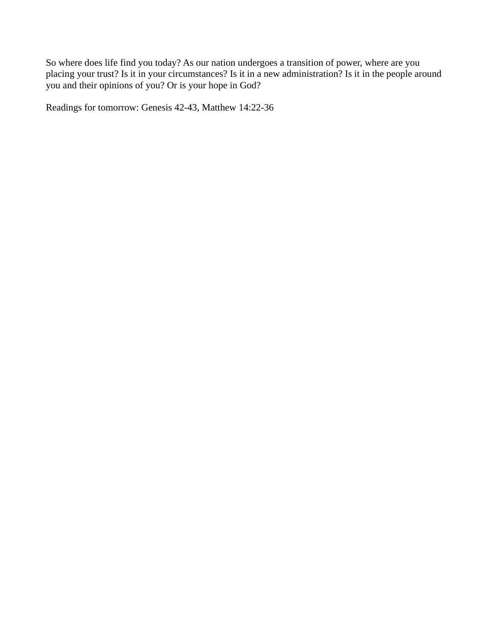So where does life find you today? As our nation undergoes a transition of power, where are you placing your trust? Is it in your circumstances? Is it in a new administration? Is it in the people around you and their opinions of you? Or is your hope in God?

Readings for tomorrow: Genesis 42-43, Matthew 14:22-36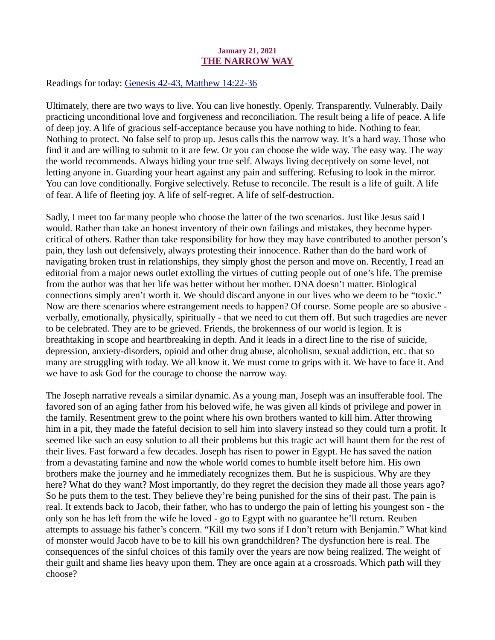## January 21, 2021 THE NARROW WAY

<span id="page-27-0"></span>Readings for today: [Genesis 42-43, Matthew 14:22-36](https://www.biblegateway.com/passage/?search=Genesis+42-43%2C+Matthew+14%3A22-36&version=NIV)

Ultimately, there are two ways to live. You can live honestly. Openly. Transparently. Vulnerably. Daily practicing unconditional love and forgiveness and reconciliation. The result being a life of peace. A life of deep joy. A life of gracious self-acceptance because you have nothing to hide. Nothing to fear. Nothing to protect. No false self to prop up. Jesus calls this the narrow way. It's a hard way. Those who find it and are willing to submit to it are few. Or you can choose the wide way. The easy way. The way the world recommends. Always hiding your true self. Always living deceptively on some level, not letting anyone in. Guarding your heart against any pain and suffering. Refusing to look in the mirror. You can love conditionally. Forgive selectively. Refuse to reconcile. The result is a life of guilt. A life of fear. A life of fleeting joy. A life of self-regret. A life of self-destruction.

Sadly, I meet too far many people who choose the latter of the two scenarios. Just like Jesus said I would. Rather than take an honest inventory of their own failings and mistakes, they become hypercritical of others. Rather than take responsibility for how they may have contributed to another person's pain, they lash out defensively, always protesting their innocence. Rather than do the hard work of navigating broken trust in relationships, they simply ghost the person and move on. Recently, I read an editorial from a major news outlet extolling the virtues of cutting people out of one's life. The premise from the author was that her life was better without her mother. DNA doesn't matter. Biological connections simply aren't worth it. We should discard anyone in our lives who we deem to be "toxic." Now are there scenarios where estrangement needs to happen? Of course. Some people are so abusive verbally, emotionally, physically, spiritually - that we need to cut them off. But such tragedies are never to be celebrated. They are to be grieved. Friends, the brokenness of our world is legion. It is breathtaking in scope and heartbreaking in depth. And it leads in a direct line to the rise of suicide, depression, anxiety-disorders, opioid and other drug abuse, alcoholism, sexual addiction, etc. that so many are struggling with today. We all know it. We must come to grips with it. We have to face it. And we have to ask God for the courage to choose the narrow way.

The Joseph narrative reveals a similar dynamic. As a young man, Joseph was an insufferable fool. The favored son of an aging father from his beloved wife, he was given all kinds of privilege and power in the family. Resentment grew to the point where his own brothers wanted to kill him. After throwing him in a pit, they made the fateful decision to sell him into slavery instead so they could turn a profit. It seemed like such an easy solution to all their problems but this tragic act will haunt them for the rest of their lives. Fast forward a few decades. Joseph has risen to power in Egypt. He has saved the nation from a devastating famine and now the whole world comes to humble itself before him. His own brothers make the journey and he immediately recognizes them. But he is suspicious. Why are they here? What do they want? Most importantly, do they regret the decision they made all those years ago? So he puts them to the test. They believe they're being punished for the sins of their past. The pain is real. It extends back to Jacob, their father, who has to undergo the pain of letting his youngest son - the only son he has left from the wife he loved - go to Egypt with no guarantee he'll return. Reuben attempts to assuage his father's concern. "Kill my two sons if I don't return with Benjamin." What kind of monster would Jacob have to be to kill his own grandchildren? The dysfunction here is real. The consequences of the sinful choices of this family over the years are now being realized. The weight of their guilt and shame lies heavy upon them. They are once again at a crossroads. Which path will they choose?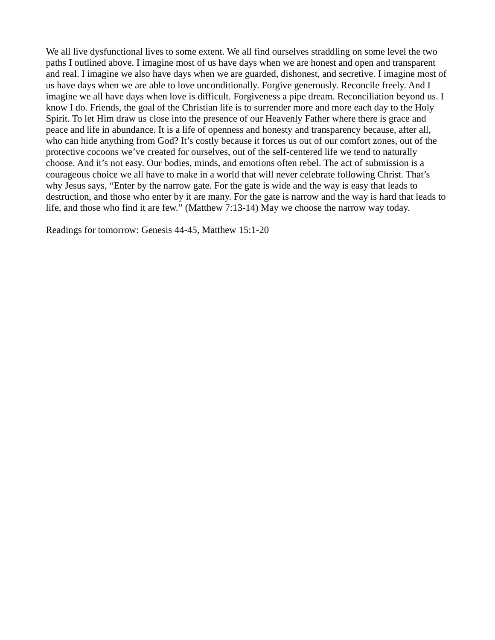We all live dysfunctional lives to some extent. We all find ourselves straddling on some level the two paths I outlined above. I imagine most of us have days when we are honest and open and transparent and real. I imagine we also have days when we are guarded, dishonest, and secretive. I imagine most of us have days when we are able to love unconditionally. Forgive generously. Reconcile freely. And I imagine we all have days when love is difficult. Forgiveness a pipe dream. Reconciliation beyond us. I know I do. Friends, the goal of the Christian life is to surrender more and more each day to the Holy Spirit. To let Him draw us close into the presence of our Heavenly Father where there is grace and peace and life in abundance. It is a life of openness and honesty and transparency because, after all, who can hide anything from God? It's costly because it forces us out of our comfort zones, out of the protective cocoons we've created for ourselves, out of the self-centered life we tend to naturally choose. And it's not easy. Our bodies, minds, and emotions often rebel. The act of submission is a courageous choice we all have to make in a world that will never celebrate following Christ. That's why Jesus says, "Enter by the narrow gate. For the gate is wide and the way is easy that leads to destruction, and those who enter by it are many. For the gate is narrow and the way is hard that leads to life, and those who find it are few." (Matthew 7:13-14) May we choose the narrow way today.

Readings for tomorrow: Genesis 44-45, Matthew 15:1-20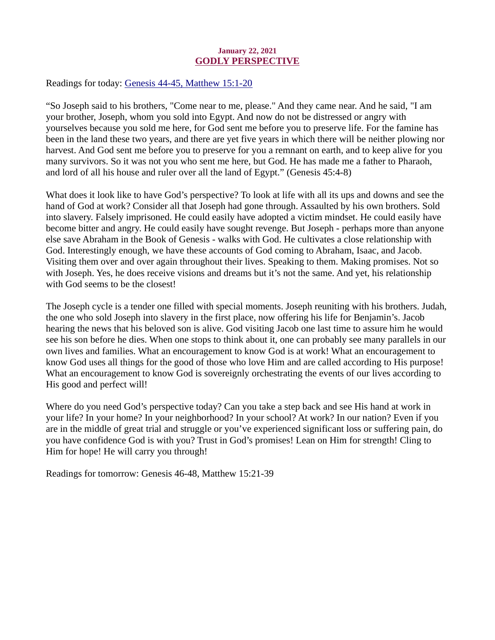## January 22, 2021 GODLY PERSPECTIVE

<span id="page-29-0"></span>Readings for today: [Genesis 44-45, Matthew 15:1-20](https://www.biblegateway.com/passage/?search=Genesis+44-45%2C+Matthew+15%3A1-20&version=ESV)

"So Joseph said to his brothers, "Come near to me, please." And they came near. And he said, "I am your brother, Joseph, whom you sold into Egypt. And now do not be distressed or angry with yourselves because you sold me here, for God sent me before you to preserve life. For the famine has been in the land these two years, and there are yet five years in which there will be neither plowing nor harvest. And God sent me before you to preserve for you a remnant on earth, and to keep alive for you many survivors. So it was not you who sent me here, but God. He has made me a father to Pharaoh, and lord of all his house and ruler over all the land of Egypt." (Genesis 45:4-8)

What does it look like to have God's perspective? To look at life with all its ups and downs and see the hand of God at work? Consider all that Joseph had gone through. Assaulted by his own brothers. Sold into slavery. Falsely imprisoned. He could easily have adopted a victim mindset. He could easily have become bitter and angry. He could easily have sought revenge. But Joseph - perhaps more than anyone else save Abraham in the Book of Genesis - walks with God. He cultivates a close relationship with God. Interestingly enough, we have these accounts of God coming to Abraham, Isaac, and Jacob. Visiting them over and over again throughout their lives. Speaking to them. Making promises. Not so with Joseph. Yes, he does receive visions and dreams but it's not the same. And yet, his relationship with God seems to be the closest!

The Joseph cycle is a tender one filled with special moments. Joseph reuniting with his brothers. Judah, the one who sold Joseph into slavery in the first place, now offering his life for Benjamin's. Jacob hearing the news that his beloved son is alive. God visiting Jacob one last time to assure him he would see his son before he dies. When one stops to think about it, one can probably see many parallels in our own lives and families. What an encouragement to know God is at work! What an encouragement to know God uses all things for the good of those who love Him and are called according to His purpose! What an encouragement to know God is sovereignly orchestrating the events of our lives according to His good and perfect will!

Where do you need God's perspective today? Can you take a step back and see His hand at work in your life? In your home? In your neighborhood? In your school? At work? In our nation? Even if you are in the middle of great trial and struggle or you've experienced significant loss or suffering pain, do you have confidence God is with you? Trust in God's promises! Lean on Him for strength! Cling to Him for hope! He will carry you through!

Readings for tomorrow: Genesis 46-48, Matthew 15:21-39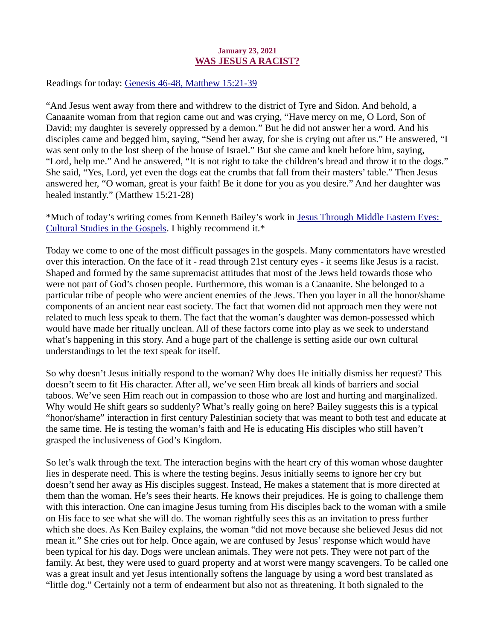## January 23, 2021 WAS JESUS A RACIST?

<span id="page-30-0"></span>Readings for today[: Genesis 46-48, Matthew 15:21-39](https://www.biblegateway.com/passage/?search=Genesis+46-48%2C+Matthew+15%3A21-39&version=ESV)

"And Jesus went away from there and withdrew to the district of Tyre and Sidon. And behold, a Canaanite woman from that region came out and was crying, "Have mercy on me, O Lord, Son of David; my daughter is severely oppressed by a demon." But he did not answer her a word. And his disciples came and begged him, saying, "Send her away, for she is crying out after us." He answered, "I was sent only to the lost sheep of the house of Israel." But she came and knelt before him, saying, "Lord, help me." And he answered, "It is not right to take the children's bread and throw it to the dogs." She said, "Yes, Lord, yet even the dogs eat the crumbs that fall from their masters' table." Then Jesus answered her, "O woman, great is your faith! Be it done for you as you desire." And her daughter was healed instantly." (Matthew 15:21-28)

\*Much of today's writing comes from Kenneth Bailey's work in Jesus Through Middle Eastern Eyes: Cultural Studies in the Gospels. I highly recommend it.\*

Today we come to one of the most difficult passages in the gospels. Many commentators have wrestled over this interaction. On the face of it - read through 21st century eyes - it seems like Jesus is a racist. Shaped and formed by the same supremacist attitudes that most of the Jews held towards those who were not part of God's chosen people. Furthermore, this woman is a Canaanite. She belonged to a particular tribe of people who were ancient enemies of the Jews. Then you layer in all the honor/shame components of an ancient near east society. The fact that women did not approach men they were not related to much less speak to them. The fact that the woman's daughter was demon-possessed which would have made her ritually unclean. All of these factors come into play as we seek to understand what's happening in this story. And a huge part of the challenge is setting aside our own cultural understandings to let the text speak for itself.

So why doesn't Jesus initially respond to the woman? Why does He initially dismiss her request? This doesn't seem to fit His character. After all, we've seen Him break all kinds of barriers and social taboos. We've seen Him reach out in compassion to those who are lost and hurting and marginalized. Why would He shift gears so suddenly? What's really going on here? Bailey suggests this is a typical "honor/shame" interaction in first century Palestinian society that was meant to both test and educate at the same time. He is testing the woman's faith and He is educating His disciples who still haven't grasped the inclusiveness of God's Kingdom.

So let's walk through the text. The interaction begins with the heart cry of this woman whose daughter lies in desperate need. This is where the testing begins. Jesus initially seems to ignore her cry but doesn't send her away as His disciples suggest. Instead, He makes a statement that is more directed at them than the woman. He's sees their hearts. He knows their prejudices. He is going to challenge them with this interaction. One can imagine Jesus turning from His disciples back to the woman with a smile on His face to see what she will do. The woman rightfully sees this as an invitation to press further which she does. As Ken Bailey explains, the woman "did not move because she believed Jesus did not mean it." She cries out for help. Once again, we are confused by Jesus' response which would have been typical for his day. Dogs were unclean animals. They were not pets. They were not part of the family. At best, they were used to guard property and at worst were mangy scavengers. To be called one was a great insult and yet Jesus intentionally softens the language by using a word best translated as "little dog." Certainly not a term of endearment but also not as threatening. It both signaled to the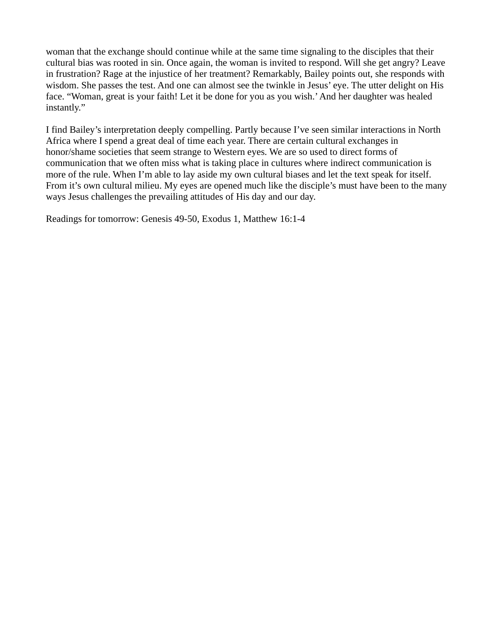woman that the exchange should continue while at the same time signaling to the disciples that their cultural bias was rooted in sin. Once again, the woman is invited to respond. Will she get angry? Leave in frustration? Rage at the injustice of her treatment? Remarkably, Bailey points out, she responds with wisdom. She passes the test. And one can almost see the twinkle in Jesus' eye. The utter delight on His face. "Woman, great is your faith! Let it be done for you as you wish.' And her daughter was healed instantly."

I find Bailey's interpretation deeply compelling. Partly because I've seen similar interactions in North Africa where I spend a great deal of time each year. There are certain cultural exchanges in honor/shame societies that seem strange to Western eyes. We are so used to direct forms of communication that we often miss what is taking place in cultures where indirect communication is more of the rule. When I'm able to lay aside my own cultural biases and let the text speak for itself. From it's own cultural milieu. My eyes are opened much like the disciple's must have been to the many ways Jesus challenges the prevailing attitudes of His day and our day.

Readings for tomorrow: Genesis 49-50, Exodus 1, Matthew 16:1-4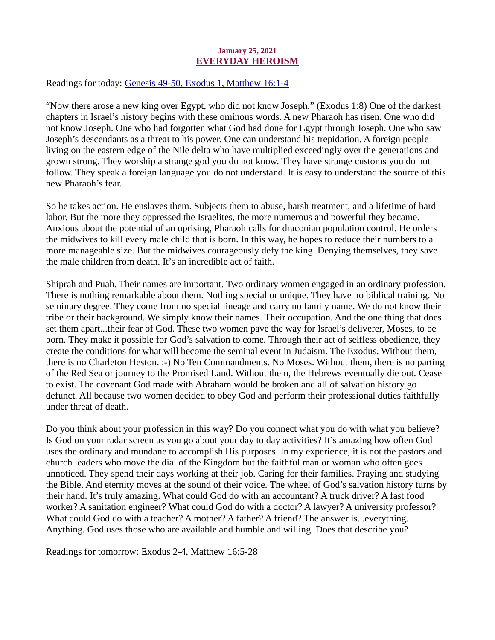## January 25, 2021 EVERYDAY HEROISM

<span id="page-32-0"></span>Readings for today: [Genesis 49-50, Exodus 1, Matthew 16:1-4](https://www.biblegateway.com/passage/?search=Genesis+49-50%2C+Exodus+1%2C+Matthew+16%3A1-4&version=ESV)

"Now there arose a new king over Egypt, who did not know Joseph." (Exodus 1:8) One of the darkest chapters in Israel's history begins with these ominous words. A new Pharaoh has risen. One who did not know Joseph. One who had forgotten what God had done for Egypt through Joseph. One who saw Joseph's descendants as a threat to his power. One can understand his trepidation. A foreign people living on the eastern edge of the Nile delta who have multiplied exceedingly over the generations and grown strong. They worship a strange god you do not know. They have strange customs you do not follow. They speak a foreign language you do not understand. It is easy to understand the source of this new Pharaoh's fear.

So he takes action. He enslaves them. Subjects them to abuse, harsh treatment, and a lifetime of hard labor. But the more they oppressed the Israelites, the more numerous and powerful they became. Anxious about the potential of an uprising, Pharaoh calls for draconian population control. He orders the midwives to kill every male child that is born. In this way, he hopes to reduce their numbers to a more manageable size. But the midwives courageously defy the king. Denying themselves, they save the male children from death. It's an incredible act of faith.

Shiprah and Puah. Their names are important. Two ordinary women engaged in an ordinary profession. There is nothing remarkable about them. Nothing special or unique. They have no biblical training. No seminary degree. They come from no special lineage and carry no family name. We do not know their tribe or their background. We simply know their names. Their occupation. And the one thing that does set them apart...their fear of God. These two women pave the way for Israel's deliverer, Moses, to be born. They make it possible for God's salvation to come. Through their act of selfless obedience, they create the conditions for what will become the seminal event in Judaism. The Exodus. Without them, there is no Charleton Heston. :-) No Ten Commandments. No Moses. Without them, there is no parting of the Red Sea or journey to the Promised Land. Without them, the Hebrews eventually die out. Cease to exist. The covenant God made with Abraham would be broken and all of salvation history go defunct. All because two women decided to obey God and perform their professional duties faithfully under threat of death.

Do you think about your profession in this way? Do you connect what you do with what you believe? Is God on your radar screen as you go about your day to day activities? It's amazing how often God uses the ordinary and mundane to accomplish His purposes. In my experience, it is not the pastors and church leaders who move the dial of the Kingdom but the faithful man or woman who often goes unnoticed. They spend their days working at their job. Caring for their families. Praying and studying the Bible. And eternity moves at the sound of their voice. The wheel of God's salvation history turns by their hand. It's truly amazing. What could God do with an accountant? A truck driver? A fast food worker? A sanitation engineer? What could God do with a doctor? A lawyer? A university professor? What could God do with a teacher? A mother? A father? A friend? The answer is...everything. Anything. God uses those who are available and humble and willing. Does that describe you?

Readings for tomorrow: Exodus 2-4, Matthew 16:5-28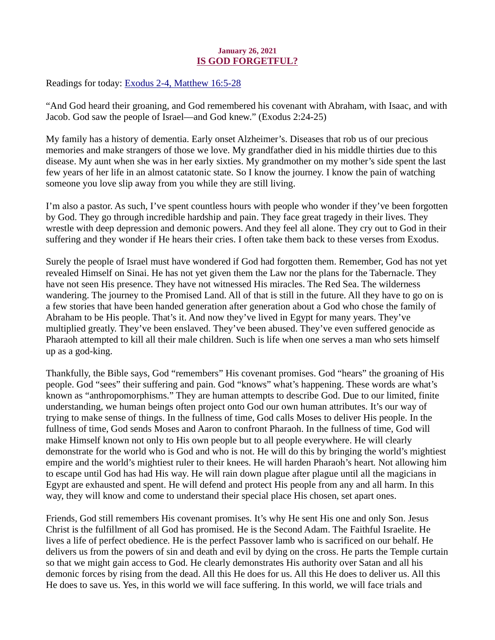## January 26, 2021 IS GOD FORGETFUL?

<span id="page-33-0"></span>Readings for today: [Exodus 2-4, Matthew 16:5-28](https://www.biblegateway.com/passage/?search=Exodus+2-4%2C+Matthew+16%3A5-28&version=ESV)

"And God heard their groaning, and God remembered his covenant with Abraham, with Isaac, and with Jacob. God saw the people of Israel—and God knew." (Exodus 2:24-25)

My family has a history of dementia. Early onset Alzheimer's. Diseases that rob us of our precious memories and make strangers of those we love. My grandfather died in his middle thirties due to this disease. My aunt when she was in her early sixties. My grandmother on my mother's side spent the last few years of her life in an almost catatonic state. So I know the journey. I know the pain of watching someone you love slip away from you while they are still living.

I'm also a pastor. As such, I've spent countless hours with people who wonder if they've been forgotten by God. They go through incredible hardship and pain. They face great tragedy in their lives. They wrestle with deep depression and demonic powers. And they feel all alone. They cry out to God in their suffering and they wonder if He hears their cries. I often take them back to these verses from Exodus.

Surely the people of Israel must have wondered if God had forgotten them. Remember, God has not yet revealed Himself on Sinai. He has not yet given them the Law nor the plans for the Tabernacle. They have not seen His presence. They have not witnessed His miracles. The Red Sea. The wilderness wandering. The journey to the Promised Land. All of that is still in the future. All they have to go on is a few stories that have been handed generation after generation about a God who chose the family of Abraham to be His people. That's it. And now they've lived in Egypt for many years. They've multiplied greatly. They've been enslaved. They've been abused. They've even suffered genocide as Pharaoh attempted to kill all their male children. Such is life when one serves a man who sets himself up as a god-king.

Thankfully, the Bible says, God "remembers" His covenant promises. God "hears" the groaning of His people. God "sees" their suffering and pain. God "knows" what's happening. These words are what's known as "anthropomorphisms." They are human attempts to describe God. Due to our limited, finite understanding, we human beings often project onto God our own human attributes. It's our way of trying to make sense of things. In the fullness of time, God calls Moses to deliver His people. In the fullness of time, God sends Moses and Aaron to confront Pharaoh. In the fullness of time, God will make Himself known not only to His own people but to all people everywhere. He will clearly demonstrate for the world who is God and who is not. He will do this by bringing the world's mightiest empire and the world's mightiest ruler to their knees. He will harden Pharaoh's heart. Not allowing him to escape until God has had His way. He will rain down plague after plague until all the magicians in Egypt are exhausted and spent. He will defend and protect His people from any and all harm. In this way, they will know and come to understand their special place His chosen, set apart ones.

Friends, God still remembers His covenant promises. It's why He sent His one and only Son. Jesus Christ is the fulfillment of all God has promised. He is the Second Adam. The Faithful Israelite. He lives a life of perfect obedience. He is the perfect Passover lamb who is sacrificed on our behalf. He delivers us from the powers of sin and death and evil by dying on the cross. He parts the Temple curtain so that we might gain access to God. He clearly demonstrates His authority over Satan and all his demonic forces by rising from the dead. All this He does for us. All this He does to deliver us. All this He does to save us. Yes, in this world we will face suffering. In this world, we will face trials and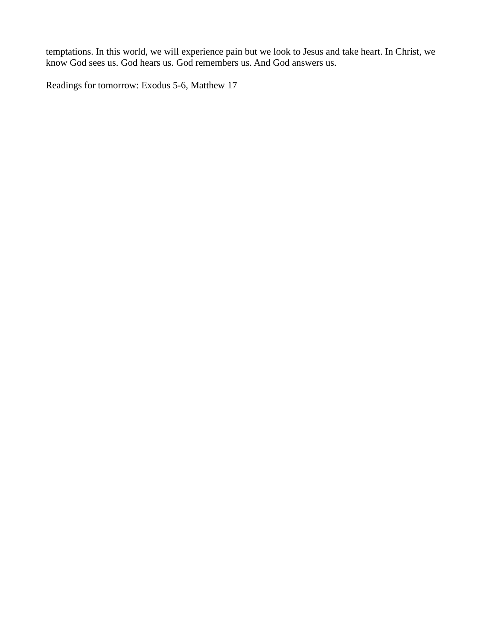temptations. In this world, we will experience pain but we look to Jesus and take heart. In Christ, we know God sees us. God hears us. God remembers us. And God answers us.

Readings for tomorrow: Exodus 5-6, Matthew 17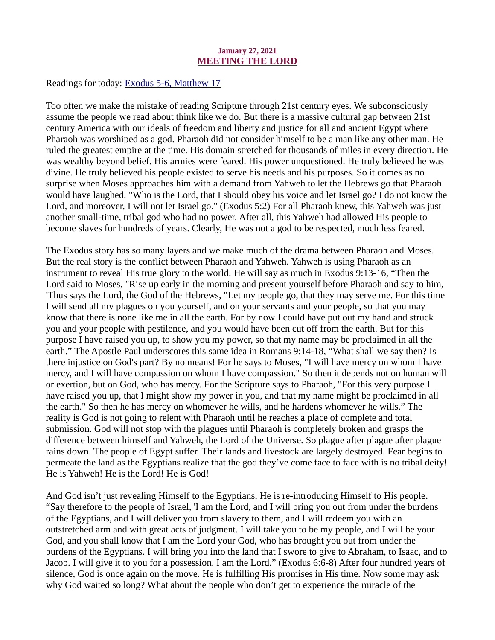### January 27, 2021 MEETING THE LORD

<span id="page-35-0"></span>Readings for today[: Exodus 5-6, Matthew 17](https://www.biblegateway.com/passage/?search=Exodus+5-6%2C+Matthew+17&version=ESV)

Too often we make the mistake of reading Scripture through 21st century eyes. We subconsciously assume the people we read about think like we do. But there is a massive cultural gap between 21st century America with our ideals of freedom and liberty and justice for all and ancient Egypt where Pharaoh was worshiped as a god. Pharaoh did not consider himself to be a man like any other man. He ruled the greatest empire at the time. His domain stretched for thousands of miles in every direction. He was wealthy beyond belief. His armies were feared. His power unquestioned. He truly believed he was divine. He truly believed his people existed to serve his needs and his purposes. So it comes as no surprise when Moses approaches him with a demand from Yahweh to let the Hebrews go that Pharaoh would have laughed. "Who is the Lord, that I should obey his voice and let Israel go? I do not know the Lord, and moreover, I will not let Israel go." (Exodus 5:2) For all Pharaoh knew, this Yahweh was just another small-time, tribal god who had no power. After all, this Yahweh had allowed His people to become slaves for hundreds of years. Clearly, He was not a god to be respected, much less feared.

The Exodus story has so many layers and we make much of the drama between Pharaoh and Moses. But the real story is the conflict between Pharaoh and Yahweh. Yahweh is using Pharaoh as an instrument to reveal His true glory to the world. He will say as much in Exodus 9:13-16, "Then the Lord said to Moses, "Rise up early in the morning and present yourself before Pharaoh and say to him, 'Thus says the Lord, the God of the Hebrews, "Let my people go, that they may serve me. For this time I will send all my plagues on you yourself, and on your servants and your people, so that you may know that there is none like me in all the earth. For by now I could have put out my hand and struck you and your people with pestilence, and you would have been cut off from the earth. But for this purpose I have raised you up, to show you my power, so that my name may be proclaimed in all the earth." The Apostle Paul underscores this same idea in Romans 9:14-18, "What shall we say then? Is there injustice on God's part? By no means! For he says to Moses, "I will have mercy on whom I have mercy, and I will have compassion on whom I have compassion." So then it depends not on human will or exertion, but on God, who has mercy. For the Scripture says to Pharaoh, "For this very purpose I have raised you up, that I might show my power in you, and that my name might be proclaimed in all the earth." So then he has mercy on whomever he wills, and he hardens whomever he wills." The reality is God is not going to relent with Pharaoh until he reaches a place of complete and total submission. God will not stop with the plagues until Pharaoh is completely broken and grasps the difference between himself and Yahweh, the Lord of the Universe. So plague after plague after plague rains down. The people of Egypt suffer. Their lands and livestock are largely destroyed. Fear begins to permeate the land as the Egyptians realize that the god they've come face to face with is no tribal deity! He is Yahweh! He is the Lord! He is God!

And God isn't just revealing Himself to the Egyptians, He is re-introducing Himself to His people. "Say therefore to the people of Israel, 'I am the Lord, and I will bring you out from under the burdens of the Egyptians, and I will deliver you from slavery to them, and I will redeem you with an outstretched arm and with great acts of judgment. I will take you to be my people, and I will be your God, and you shall know that I am the Lord your God, who has brought you out from under the burdens of the Egyptians. I will bring you into the land that I swore to give to Abraham, to Isaac, and to Jacob. I will give it to you for a possession. I am the Lord." (Exodus 6:6-8) After four hundred years of silence, God is once again on the move. He is fulfilling His promises in His time. Now some may ask why God waited so long? What about the people who don't get to experience the miracle of the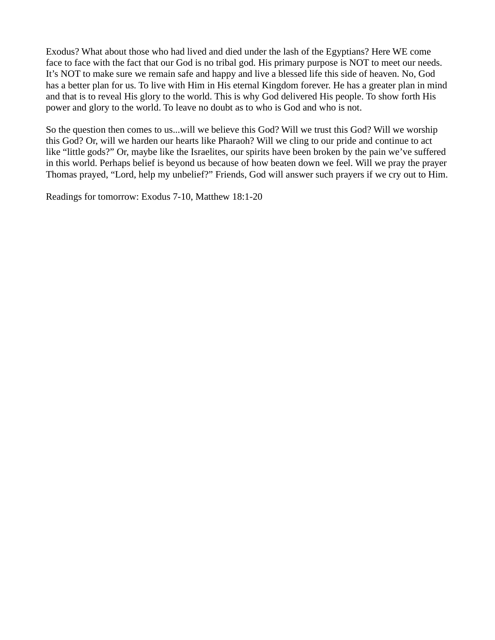Exodus? What about those who had lived and died under the lash of the Egyptians? Here WE come face to face with the fact that our God is no tribal god. His primary purpose is NOT to meet our needs. It's NOT to make sure we remain safe and happy and live a blessed life this side of heaven. No, God has a better plan for us. To live with Him in His eternal Kingdom forever. He has a greater plan in mind and that is to reveal His glory to the world. This is why God delivered His people. To show forth His power and glory to the world. To leave no doubt as to who is God and who is not.

So the question then comes to us...will we believe this God? Will we trust this God? Will we worship this God? Or, will we harden our hearts like Pharaoh? Will we cling to our pride and continue to act like "little gods?" Or, maybe like the Israelites, our spirits have been broken by the pain we've suffered in this world. Perhaps belief is beyond us because of how beaten down we feel. Will we pray the prayer Thomas prayed, "Lord, help my unbelief?" Friends, God will answer such prayers if we cry out to Him.

Readings for tomorrow: Exodus 7-10, Matthew 18:1-20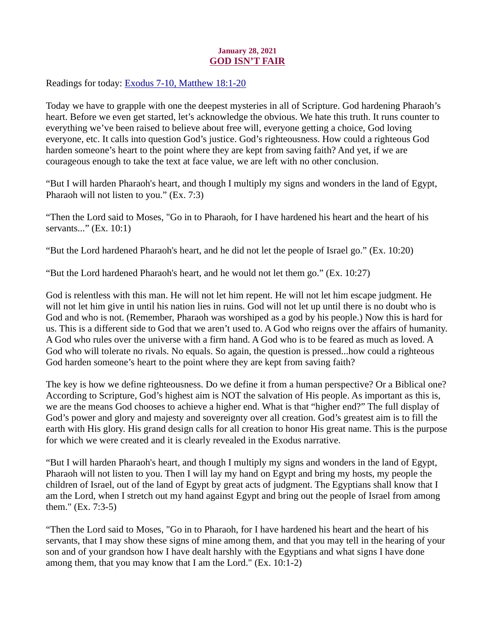## January 28, 2021 GOD ISN'T FAIR

<span id="page-37-0"></span>Readings for today[: Exodus 7-10, Matthew 18:1-20](https://www.biblegateway.com/passage/?search=Exodus+7-10%2C+Matthew+18%3A1-20&version=ESV)

Today we have to grapple with one the deepest mysteries in all of Scripture. God hardening Pharaoh's heart. Before we even get started, let's acknowledge the obvious. We hate this truth. It runs counter to everything we've been raised to believe about free will, everyone getting a choice, God loving everyone, etc. It calls into question God's justice. God's righteousness. How could a righteous God harden someone's heart to the point where they are kept from saving faith? And yet, if we are courageous enough to take the text at face value, we are left with no other conclusion.

"But I will harden Pharaoh's heart, and though I multiply my signs and wonders in the land of Egypt, Pharaoh will not listen to you." (Ex. 7:3)

"Then the Lord said to Moses, "Go in to Pharaoh, for I have hardened his heart and the heart of his servants..." (Ex. 10:1)

"But the Lord hardened Pharaoh's heart, and he did not let the people of Israel go." (Ex. 10:20)

"But the Lord hardened Pharaoh's heart, and he would not let them go." (Ex. 10:27)

God is relentless with this man. He will not let him repent. He will not let him escape judgment. He will not let him give in until his nation lies in ruins. God will not let up until there is no doubt who is God and who is not. (Remember, Pharaoh was worshiped as a god by his people.) Now this is hard for us. This is a different side to God that we aren't used to. A God who reigns over the affairs of humanity. A God who rules over the universe with a firm hand. A God who is to be feared as much as loved. A God who will tolerate no rivals. No equals. So again, the question is pressed...how could a righteous God harden someone's heart to the point where they are kept from saving faith?

The key is how we define righteousness. Do we define it from a human perspective? Or a Biblical one? According to Scripture, God's highest aim is NOT the salvation of His people. As important as this is, we are the means God chooses to achieve a higher end. What is that "higher end?" The full display of God's power and glory and majesty and sovereignty over all creation. God's greatest aim is to fill the earth with His glory. His grand design calls for all creation to honor His great name. This is the purpose for which we were created and it is clearly revealed in the Exodus narrative.

"But I will harden Pharaoh's heart, and though I multiply my signs and wonders in the land of Egypt, Pharaoh will not listen to you. Then I will lay my hand on Egypt and bring my hosts, my people the children of Israel, out of the land of Egypt by great acts of judgment. The Egyptians shall know that I am the Lord, when I stretch out my hand against Egypt and bring out the people of Israel from among them." (Ex. 7:3-5)

"Then the Lord said to Moses, "Go in to Pharaoh, for I have hardened his heart and the heart of his servants, that I may show these signs of mine among them, and that you may tell in the hearing of your son and of your grandson how I have dealt harshly with the Egyptians and what signs I have done among them, that you may know that I am the Lord." (Ex. 10:1-2)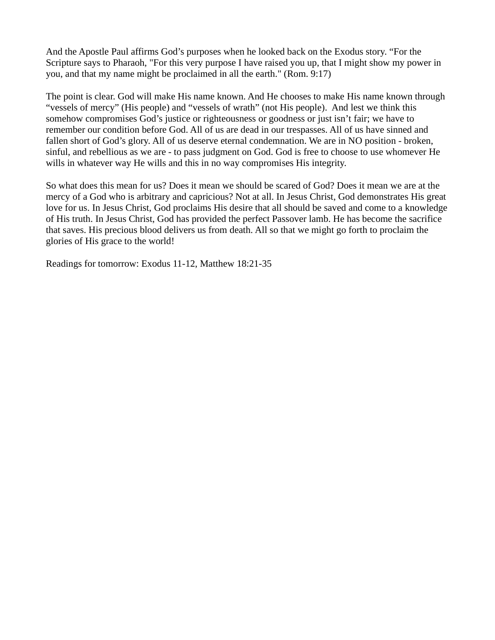And the Apostle Paul affirms God's purposes when he looked back on the Exodus story. "For the Scripture says to Pharaoh, "For this very purpose I have raised you up, that I might show my power in you, and that my name might be proclaimed in all the earth." (Rom. 9:17)

The point is clear. God will make His name known. And He chooses to make His name known through "vessels of mercy" (His people) and "vessels of wrath" (not His people). And lest we think this somehow compromises God's justice or righteousness or goodness or just isn't fair; we have to remember our condition before God. All of us are dead in our trespasses. All of us have sinned and fallen short of God's glory. All of us deserve eternal condemnation. We are in NO position - broken, sinful, and rebellious as we are - to pass judgment on God. God is free to choose to use whomever He wills in whatever way He wills and this in no way compromises His integrity.

So what does this mean for us? Does it mean we should be scared of God? Does it mean we are at the mercy of a God who is arbitrary and capricious? Not at all. In Jesus Christ, God demonstrates His great love for us. In Jesus Christ, God proclaims His desire that all should be saved and come to a knowledge of His truth. In Jesus Christ, God has provided the perfect Passover lamb. He has become the sacrifice that saves. His precious blood delivers us from death. All so that we might go forth to proclaim the glories of His grace to the world!

Readings for tomorrow: Exodus 11-12, Matthew 18:21-35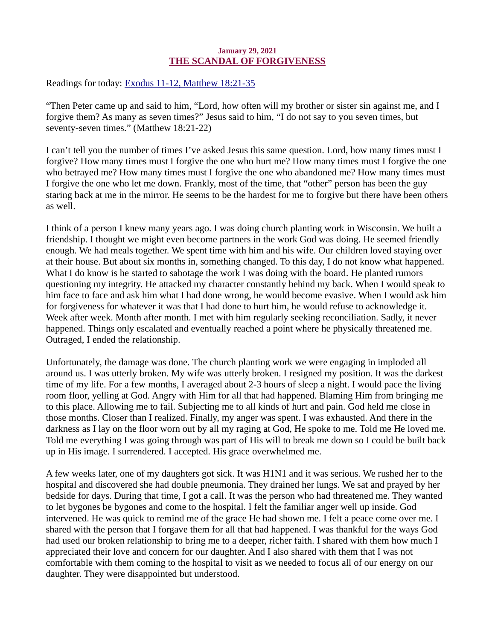## January 29, 2021 THE SCANDAL OF FORGIVENESS

<span id="page-39-0"></span>Readings for toda[y: Exodus 11-12, Matthew 18:21-35](https://www.biblegateway.com/passage/?search=Exodus+11-12%2C+Matthew+18%3A21-35&version=ESV)

"Then Peter came up and said to him, "Lord, how often will my brother or sister sin against me, and I forgive them? As many as seven times?" Jesus said to him, "I do not say to you seven times, but seventy-seven times." (Matthew 18:21-22)

I can't tell you the number of times I've asked Jesus this same question. Lord, how many times must I forgive? How many times must I forgive the one who hurt me? How many times must I forgive the one who betrayed me? How many times must I forgive the one who abandoned me? How many times must I forgive the one who let me down. Frankly, most of the time, that "other" person has been the guy staring back at me in the mirror. He seems to be the hardest for me to forgive but there have been others as well.

I think of a person I knew many years ago. I was doing church planting work in Wisconsin. We built a friendship. I thought we might even become partners in the work God was doing. He seemed friendly enough. We had meals together. We spent time with him and his wife. Our children loved staying over at their house. But about six months in, something changed. To this day, I do not know what happened. What I do know is he started to sabotage the work I was doing with the board. He planted rumors questioning my integrity. He attacked my character constantly behind my back. When I would speak to him face to face and ask him what I had done wrong, he would become evasive. When I would ask him for forgiveness for whatever it was that I had done to hurt him, he would refuse to acknowledge it. Week after week. Month after month. I met with him regularly seeking reconciliation. Sadly, it never happened. Things only escalated and eventually reached a point where he physically threatened me. Outraged, I ended the relationship.

Unfortunately, the damage was done. The church planting work we were engaging in imploded all around us. I was utterly broken. My wife was utterly broken. I resigned my position. It was the darkest time of my life. For a few months, I averaged about 2-3 hours of sleep a night. I would pace the living room floor, yelling at God. Angry with Him for all that had happened. Blaming Him from bringing me to this place. Allowing me to fail. Subjecting me to all kinds of hurt and pain. God held me close in those months. Closer than I realized. Finally, my anger was spent. I was exhausted. And there in the darkness as I lay on the floor worn out by all my raging at God, He spoke to me. Told me He loved me. Told me everything I was going through was part of His will to break me down so I could be built back up in His image. I surrendered. I accepted. His grace overwhelmed me.

A few weeks later, one of my daughters got sick. It was H1N1 and it was serious. We rushed her to the hospital and discovered she had double pneumonia. They drained her lungs. We sat and prayed by her bedside for days. During that time, I got a call. It was the person who had threatened me. They wanted to let bygones be bygones and come to the hospital. I felt the familiar anger well up inside. God intervened. He was quick to remind me of the grace He had shown me. I felt a peace come over me. I shared with the person that I forgave them for all that had happened. I was thankful for the ways God had used our broken relationship to bring me to a deeper, richer faith. I shared with them how much I appreciated their love and concern for our daughter. And I also shared with them that I was not comfortable with them coming to the hospital to visit as we needed to focus all of our energy on our daughter. They were disappointed but understood.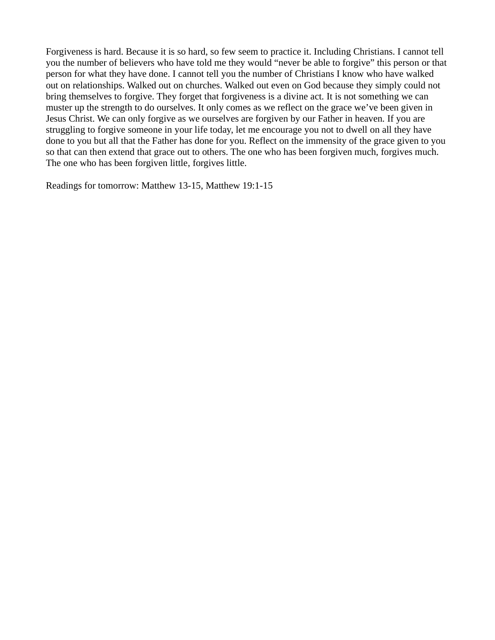Forgiveness is hard. Because it is so hard, so few seem to practice it. Including Christians. I cannot tell you the number of believers who have told me they would "never be able to forgive" this person or that person for what they have done. I cannot tell you the number of Christians I know who have walked out on relationships. Walked out on churches. Walked out even on God because they simply could not bring themselves to forgive. They forget that forgiveness is a divine act. It is not something we can muster up the strength to do ourselves. It only comes as we reflect on the grace we've been given in Jesus Christ. We can only forgive as we ourselves are forgiven by our Father in heaven. If you are struggling to forgive someone in your life today, let me encourage you not to dwell on all they have done to you but all that the Father has done for you. Reflect on the immensity of the grace given to you so that can then extend that grace out to others. The one who has been forgiven much, forgives much. The one who has been forgiven little, forgives little.

Readings for tomorrow: Matthew 13-15, Matthew 19:1-15